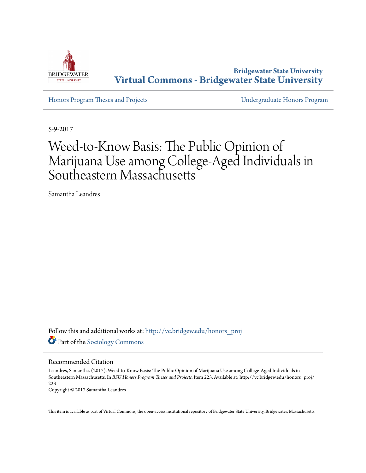

**Bridgewater State University [Virtual Commons - Bridgewater State University](http://vc.bridgew.edu?utm_source=vc.bridgew.edu%2Fhonors_proj%2F223&utm_medium=PDF&utm_campaign=PDFCoverPages)**

[Honors Program Theses and Projects](http://vc.bridgew.edu/honors_proj?utm_source=vc.bridgew.edu%2Fhonors_proj%2F223&utm_medium=PDF&utm_campaign=PDFCoverPages) [Undergraduate Honors Program](http://vc.bridgew.edu/honors?utm_source=vc.bridgew.edu%2Fhonors_proj%2F223&utm_medium=PDF&utm_campaign=PDFCoverPages)

5-9-2017

# Weed-to-Know Basis: The Public Opinion of Marijuana Use among College-Aged Individuals in Southeastern Massachusetts

Samantha Leandres

Follow this and additional works at: [http://vc.bridgew.edu/honors\\_proj](http://vc.bridgew.edu/honors_proj?utm_source=vc.bridgew.edu%2Fhonors_proj%2F223&utm_medium=PDF&utm_campaign=PDFCoverPages) Part of the [Sociology Commons](http://network.bepress.com/hgg/discipline/416?utm_source=vc.bridgew.edu%2Fhonors_proj%2F223&utm_medium=PDF&utm_campaign=PDFCoverPages)

## Recommended Citation

Leandres, Samantha. (2017). Weed-to-Know Basis: The Public Opinion of Marijuana Use among College-Aged Individuals in Southeastern Massachusetts. In *BSU Honors Program Theses and Projects.* Item 223. Available at: http://vc.bridgew.edu/honors\_proj/ 223

Copyright © 2017 Samantha Leandres

This item is available as part of Virtual Commons, the open-access institutional repository of Bridgewater State University, Bridgewater, Massachusetts.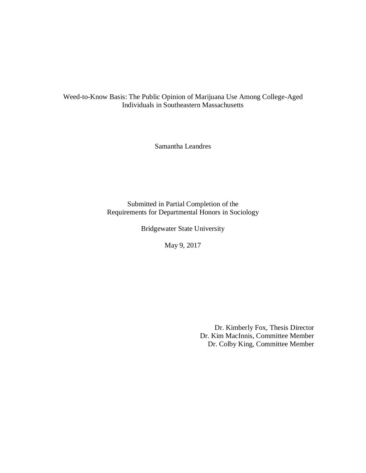Weed-to-Know Basis: The Public Opinion of Marijuana Use Among College-Aged Individuals in Southeastern Massachusetts

Samantha Leandres

Submitted in Partial Completion of the Requirements for Departmental Honors in Sociology

Bridgewater State University

May 9, 2017

Dr. Kimberly Fox, Thesis Director Dr. Kim MacInnis, Committee Member Dr. Colby King, Committee Member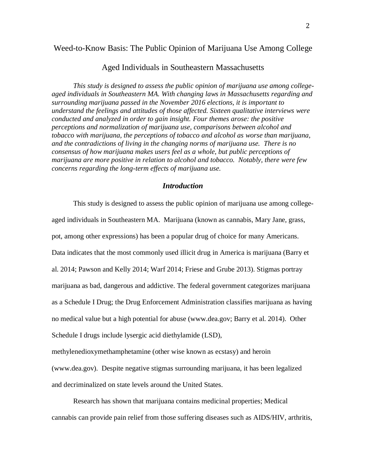# Weed-to-Know Basis: The Public Opinion of Marijuana Use Among College

# Aged Individuals in Southeastern Massachusetts

*This study is designed to assess the public opinion of marijuana use among collegeaged individuals in Southeastern MA. With changing laws in Massachusetts regarding and surrounding marijuana passed in the November 2016 elections, it is important to understand the feelings and attitudes of those affected. Sixteen qualitative interviews were conducted and analyzed in order to gain insight. Four themes arose: the positive perceptions and normalization of marijuana use, comparisons between alcohol and tobacco with marijuana, the perceptions of tobacco and alcohol as worse than marijuana, and the contradictions of living in the changing norms of marijuana use. There is no consensus of how marijuana makes users feel as a whole, but public perceptions of marijuana are more positive in relation to alcohol and tobacco. Notably, there were few concerns regarding the long-term effects of marijuana use.*

## *Introduction*

This study is designed to assess the public opinion of marijuana use among collegeaged individuals in Southeastern MA. Marijuana (known as cannabis, Mary Jane, grass, pot, among other expressions) has been a popular drug of choice for many Americans. Data indicates that the most commonly used illicit drug in America is marijuana (Barry et al. 2014; Pawson and Kelly 2014; Warf 2014; Friese and Grube 2013). Stigmas portray marijuana as bad, dangerous and addictive. The federal government categorizes marijuana as a Schedule I Drug; the Drug Enforcement Administration classifies marijuana as having no medical value but a high potential for abuse (www.dea.gov; Barry et al. 2014). Other Schedule I drugs include lysergic acid diethylamide (LSD), methylenedioxymethamphetamine (other wise known as ecstasy) and heroin (www.dea.gov). Despite negative stigmas surrounding marijuana, it has been legalized and decriminalized on state levels around the United States.

Research has shown that marijuana contains medicinal properties; Medical cannabis can provide pain relief from those suffering diseases such as AIDS/HIV, arthritis,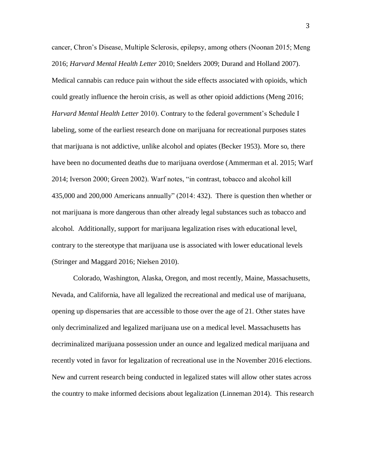cancer, Chron's Disease, Multiple Sclerosis, epilepsy, among others (Noonan 2015; Meng 2016; *Harvard Mental Health Letter* 2010; Snelders 2009; Durand and Holland 2007). Medical cannabis can reduce pain without the side effects associated with opioids, which could greatly influence the heroin crisis, as well as other opioid addictions (Meng 2016; *Harvard Mental Health Letter* 2010). Contrary to the federal government's Schedule I labeling, some of the earliest research done on marijuana for recreational purposes states that marijuana is not addictive, unlike alcohol and opiates (Becker 1953). More so, there have been no documented deaths due to marijuana overdose (Ammerman et al. 2015; Warf 2014; Iverson 2000; Green 2002). Warf notes, "in contrast, tobacco and alcohol kill 435,000 and 200,000 Americans annually" (2014: 432). There is question then whether or not marijuana is more dangerous than other already legal substances such as tobacco and alcohol. Additionally, support for marijuana legalization rises with educational level, contrary to the stereotype that marijuana use is associated with lower educational levels (Stringer and Maggard 2016; Nielsen 2010).

Colorado, Washington, Alaska, Oregon, and most recently, Maine, Massachusetts, Nevada, and California, have all legalized the recreational and medical use of marijuana, opening up dispensaries that are accessible to those over the age of 21. Other states have only decriminalized and legalized marijuana use on a medical level. Massachusetts has decriminalized marijuana possession under an ounce and legalized medical marijuana and recently voted in favor for legalization of recreational use in the November 2016 elections. New and current research being conducted in legalized states will allow other states across the country to make informed decisions about legalization (Linneman 2014). This research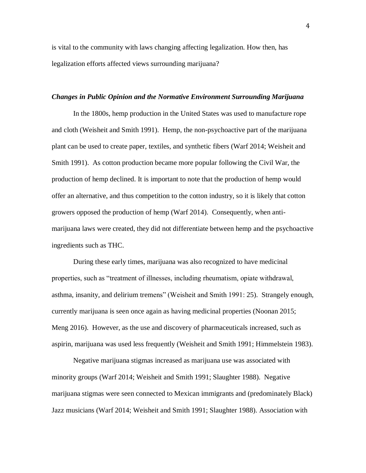is vital to the community with laws changing affecting legalization. How then, has legalization efforts affected views surrounding marijuana?

## *Changes in Public Opinion and the Normative Environment Surrounding Marijuana*

In the 1800s, hemp production in the United States was used to manufacture rope and cloth (Weisheit and Smith 1991). Hemp, the non-psychoactive part of the marijuana plant can be used to create paper, textiles, and synthetic fibers (Warf 2014; Weisheit and Smith 1991). As cotton production became more popular following the Civil War, the production of hemp declined. It is important to note that the production of hemp would offer an alternative, and thus competition to the cotton industry, so it is likely that cotton growers opposed the production of hemp (Warf 2014). Consequently, when antimarijuana laws were created, they did not differentiate between hemp and the psychoactive ingredients such as THC.

During these early times, marijuana was also recognized to have medicinal properties, such as "treatment of illnesses, including rheumatism, opiate withdrawal, asthma, insanity, and delirium tremens" (Weisheit and Smith 1991: 25). Strangely enough, currently marijuana is seen once again as having medicinal properties (Noonan 2015; Meng 2016). However, as the use and discovery of pharmaceuticals increased, such as aspirin, marijuana was used less frequently (Weisheit and Smith 1991; Himmelstein 1983).

Negative marijuana stigmas increased as marijuana use was associated with minority groups (Warf 2014; Weisheit and Smith 1991; Slaughter 1988). Negative marijuana stigmas were seen connected to Mexican immigrants and (predominately Black) Jazz musicians (Warf 2014; Weisheit and Smith 1991; Slaughter 1988). Association with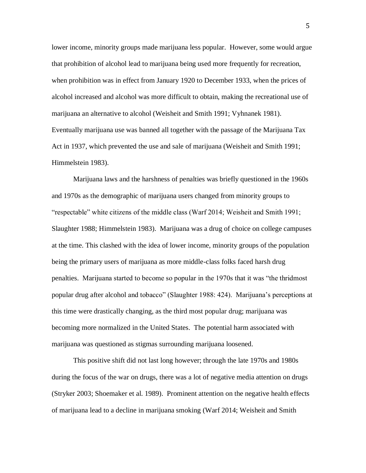lower income, minority groups made marijuana less popular. However, some would argue that prohibition of alcohol lead to marijuana being used more frequently for recreation, when prohibition was in effect from January 1920 to December 1933, when the prices of alcohol increased and alcohol was more difficult to obtain, making the recreational use of marijuana an alternative to alcohol (Weisheit and Smith 1991; Vyhnanek 1981). Eventually marijuana use was banned all together with the passage of the Marijuana Tax Act in 1937, which prevented the use and sale of marijuana (Weisheit and Smith 1991; Himmelstein 1983).

Marijuana laws and the harshness of penalties was briefly questioned in the 1960s and 1970s as the demographic of marijuana users changed from minority groups to "respectable" white citizens of the middle class (Warf 2014; Weisheit and Smith 1991; Slaughter 1988; Himmelstein 1983). Marijuana was a drug of choice on college campuses at the time. This clashed with the idea of lower income, minority groups of the population being the primary users of marijuana as more middle-class folks faced harsh drug penalties. Marijuana started to become so popular in the 1970s that it was "the thridmost popular drug after alcohol and tobacco" (Slaughter 1988: 424). Marijuana's perceptions at this time were drastically changing, as the third most popular drug; marijuana was becoming more normalized in the United States. The potential harm associated with marijuana was questioned as stigmas surrounding marijuana loosened.

This positive shift did not last long however; through the late 1970s and 1980s during the focus of the war on drugs, there was a lot of negative media attention on drugs (Stryker 2003; Shoemaker et al. 1989). Prominent attention on the negative health effects of marijuana lead to a decline in marijuana smoking (Warf 2014; Weisheit and Smith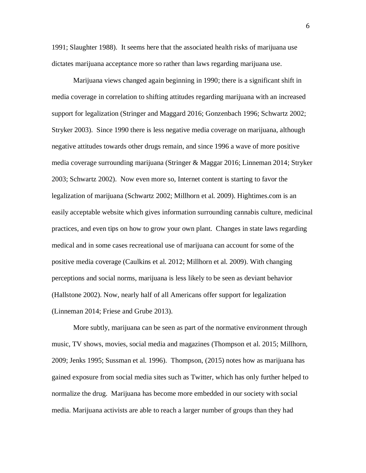1991; Slaughter 1988). It seems here that the associated health risks of marijuana use dictates marijuana acceptance more so rather than laws regarding marijuana use.

Marijuana views changed again beginning in 1990; there is a significant shift in media coverage in correlation to shifting attitudes regarding marijuana with an increased support for legalization (Stringer and Maggard 2016; Gonzenbach 1996; Schwartz 2002; Stryker 2003). Since 1990 there is less negative media coverage on marijuana, although negative attitudes towards other drugs remain, and since 1996 a wave of more positive media coverage surrounding marijuana (Stringer & Maggar 2016; Linneman 2014; Stryker 2003; Schwartz 2002). Now even more so, Internet content is starting to favor the legalization of marijuana (Schwartz 2002; Millhorn et al. 2009). Hightimes.com is an easily acceptable website which gives information surrounding cannabis culture, medicinal practices, and even tips on how to grow your own plant. Changes in state laws regarding medical and in some cases recreational use of marijuana can account for some of the positive media coverage (Caulkins et al. 2012; Millhorn et al. 2009). With changing perceptions and social norms, marijuana is less likely to be seen as deviant behavior (Hallstone 2002). Now, nearly half of all Americans offer support for legalization (Linneman 2014; Friese and Grube 2013).

More subtly, marijuana can be seen as part of the normative environment through music, TV shows, movies, social media and magazines (Thompson et al. 2015; Millhorn, 2009; Jenks 1995; Sussman et al. 1996). Thompson, (2015) notes how as marijuana has gained exposure from social media sites such as Twitter, which has only further helped to normalize the drug. Marijuana has become more embedded in our society with social media. Marijuana activists are able to reach a larger number of groups than they had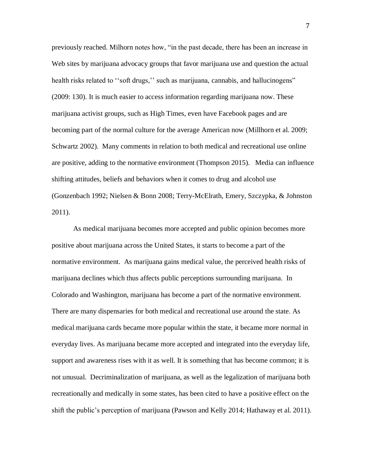previously reached. Milhorn notes how, "in the past decade, there has been an increase in Web sites by marijuana advocacy groups that favor marijuana use and question the actual health risks related to "soft drugs," such as marijuana, cannabis, and hallucinogens" (2009: 130). It is much easier to access information regarding marijuana now. These marijuana activist groups, such as High Times, even have Facebook pages and are becoming part of the normal culture for the average American now (Millhorn et al. 2009; Schwartz 2002). Many comments in relation to both medical and recreational use online are positive, adding to the normative environment (Thompson 2015). Media can influence shifting attitudes, beliefs and behaviors when it comes to drug and alcohol use (Gonzenbach 1992; Nielsen & Bonn 2008; Terry-McElrath, Emery, Szczypka, & Johnston 2011).

As medical marijuana becomes more accepted and public opinion becomes more positive about marijuana across the United States, it starts to become a part of the normative environment. As marijuana gains medical value, the perceived health risks of marijuana declines which thus affects public perceptions surrounding marijuana. In Colorado and Washington, marijuana has become a part of the normative environment. There are many dispensaries for both medical and recreational use around the state. As medical marijuana cards became more popular within the state, it became more normal in everyday lives. As marijuana became more accepted and integrated into the everyday life, support and awareness rises with it as well. It is something that has become common; it is not unusual. Decriminalization of marijuana, as well as the legalization of marijuana both recreationally and medically in some states, has been cited to have a positive effect on the shift the public's perception of marijuana (Pawson and Kelly 2014; Hathaway et al. 2011).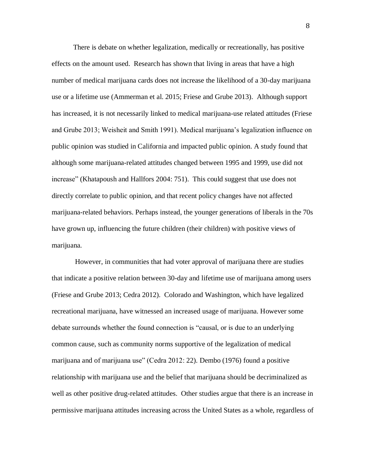There is debate on whether legalization, medically or recreationally, has positive effects on the amount used. Research has shown that living in areas that have a high number of medical marijuana cards does not increase the likelihood of a 30-day marijuana use or a lifetime use (Ammerman et al. 2015; Friese and Grube 2013). Although support has increased, it is not necessarily linked to medical marijuana-use related attitudes (Friese and Grube 2013; Weisheit and Smith 1991). Medical marijuana's legalization influence on public opinion was studied in California and impacted public opinion. A study found that although some marijuana-related attitudes changed between 1995 and 1999, use did not increase" (Khatapoush and Hallfors 2004: 751). This could suggest that use does not directly correlate to public opinion, and that recent policy changes have not affected marijuana-related behaviors. Perhaps instead, the younger generations of liberals in the 70s have grown up, influencing the future children (their children) with positive views of marijuana.

However, in communities that had voter approval of marijuana there are studies that indicate a positive relation between 30-day and lifetime use of marijuana among users (Friese and Grube 2013; Cedra 2012). Colorado and Washington, which have legalized recreational marijuana, have witnessed an increased usage of marijuana. However some debate surrounds whether the found connection is "causal, or is due to an underlying common cause, such as community norms supportive of the legalization of medical marijuana and of marijuana use" (Cedra 2012: 22). Dembo (1976) found a positive relationship with marijuana use and the belief that marijuana should be decriminalized as well as other positive drug-related attitudes. Other studies argue that there is an increase in permissive marijuana attitudes increasing across the United States as a whole, regardless of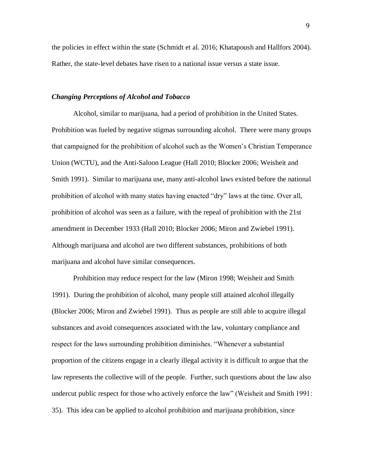the policies in effect within the state (Schmidt et al. 2016; Khatapoush and Hallfors 2004). Rather, the state-level debates have risen to a national issue versus a state issue.

## *Changing Perceptions of Alcohol and Tobacco*

Alcohol, similar to marijuana, had a period of prohibition in the United States. Prohibition was fueled by negative stigmas surrounding alcohol. There were many groups that campaigned for the prohibition of alcohol such as the Women's Christian Temperance Union (WCTU), and the Anti-Saloon League (Hall 2010; Blocker 2006; Weisheit and Smith 1991). Similar to marijuana use, many anti-alcohol laws existed before the national prohibition of alcohol with many states having enacted "dry" laws at the time. Over all, prohibition of alcohol was seen as a failure, with the repeal of prohibition with the 21st amendment in December 1933 (Hall 2010; Blocker 2006; Miron and Zwiebel 1991). Although marijuana and alcohol are two different substances, prohibitions of both marijuana and alcohol have similar consequences.

Prohibition may reduce respect for the law (Miron 1998; Weisheit and Smith 1991). During the prohibition of alcohol, many people still attained alcohol illegally (Blocker 2006; Miron and Zwiebel 1991). Thus as people are still able to acquire illegal substances and avoid consequences associated with the law, voluntary compliance and respect for the laws surrounding prohibition diminishes. "Whenever a substantial proportion of the citizens engage in a clearly illegal activity it is difficult to argue that the law represents the collective will of the people. Further, such questions about the law also undercut public respect for those who actively enforce the law" (Weisheit and Smith 1991: 35). This idea can be applied to alcohol prohibition and marijuana prohibition, since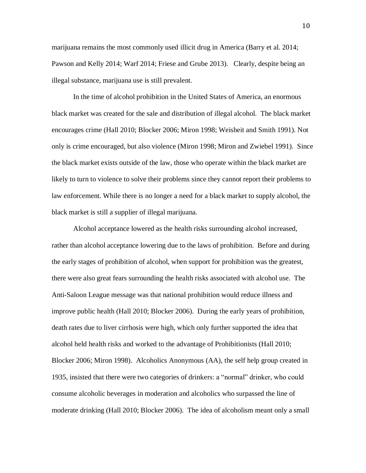marijuana remains the most commonly used illicit drug in America (Barry et al. 2014; Pawson and Kelly 2014; Warf 2014; Friese and Grube 2013). Clearly, despite being an illegal substance, marijuana use is still prevalent.

In the time of alcohol prohibition in the United States of America, an enormous black market was created for the sale and distribution of illegal alcohol. The black market encourages crime (Hall 2010; Blocker 2006; Miron 1998; Weisheit and Smith 1991). Not only is crime encouraged, but also violence (Miron 1998; Miron and Zwiebel 1991). Since the black market exists outside of the law, those who operate within the black market are likely to turn to violence to solve their problems since they cannot report their problems to law enforcement. While there is no longer a need for a black market to supply alcohol, the black market is still a supplier of illegal marijuana.

Alcohol acceptance lowered as the health risks surrounding alcohol increased, rather than alcohol acceptance lowering due to the laws of prohibition. Before and during the early stages of prohibition of alcohol, when support for prohibition was the greatest, there were also great fears surrounding the health risks associated with alcohol use. The Anti-Saloon League message was that national prohibition would reduce illness and improve public health (Hall 2010; Blocker 2006). During the early years of prohibition, death rates due to liver cirrhosis were high, which only further supported the idea that alcohol held health risks and worked to the advantage of Prohibitionists (Hall 2010; Blocker 2006; Miron 1998). Alcoholics Anonymous (AA), the self help group created in 1935, insisted that there were two categories of drinkers: a "normal" drinker, who could consume alcoholic beverages in moderation and alcoholics who surpassed the line of moderate drinking (Hall 2010; Blocker 2006). The idea of alcoholism meant only a small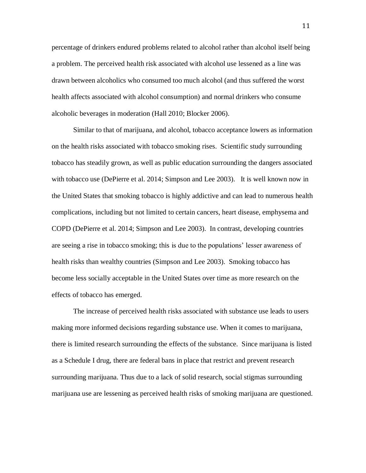percentage of drinkers endured problems related to alcohol rather than alcohol itself being a problem. The perceived health risk associated with alcohol use lessened as a line was drawn between alcoholics who consumed too much alcohol (and thus suffered the worst health affects associated with alcohol consumption) and normal drinkers who consume alcoholic beverages in moderation (Hall 2010; Blocker 2006).

Similar to that of marijuana, and alcohol, tobacco acceptance lowers as information on the health risks associated with tobacco smoking rises. Scientific study surrounding tobacco has steadily grown, as well as public education surrounding the dangers associated with tobacco use (DePierre et al. 2014; Simpson and Lee 2003). It is well known now in the United States that smoking tobacco is highly addictive and can lead to numerous health complications, including but not limited to certain cancers, heart disease, emphysema and COPD (DePierre et al. 2014; Simpson and Lee 2003). In contrast, developing countries are seeing a rise in tobacco smoking; this is due to the populations' lesser awareness of health risks than wealthy countries (Simpson and Lee 2003). Smoking tobacco has become less socially acceptable in the United States over time as more research on the effects of tobacco has emerged.

The increase of perceived health risks associated with substance use leads to users making more informed decisions regarding substance use. When it comes to marijuana, there is limited research surrounding the effects of the substance. Since marijuana is listed as a Schedule I drug, there are federal bans in place that restrict and prevent research surrounding marijuana. Thus due to a lack of solid research, social stigmas surrounding marijuana use are lessening as perceived health risks of smoking marijuana are questioned.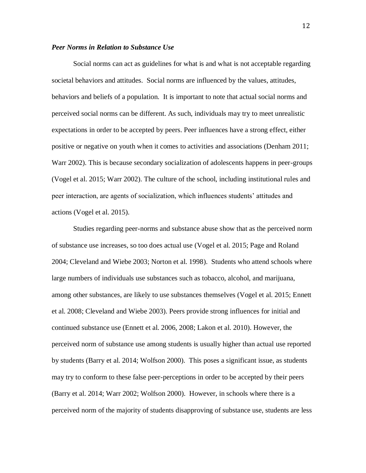## *Peer Norms in Relation to Substance Use*

Social norms can act as guidelines for what is and what is not acceptable regarding societal behaviors and attitudes. Social norms are influenced by the values, attitudes, behaviors and beliefs of a population. It is important to note that actual social norms and perceived social norms can be different. As such, individuals may try to meet unrealistic expectations in order to be accepted by peers. Peer influences have a strong effect, either positive or negative on youth when it comes to activities and associations (Denham 2011; Warr 2002). This is because secondary socialization of adolescents happens in peer-groups (Vogel et al. 2015; Warr 2002). The culture of the school, including institutional rules and peer interaction, are agents of socialization, which influences students' attitudes and actions (Vogel et al. 2015).

Studies regarding peer-norms and substance abuse show that as the perceived norm of substance use increases, so too does actual use (Vogel et al. 2015; Page and Roland 2004; Cleveland and Wiebe 2003; Norton et al. 1998). Students who attend schools where large numbers of individuals use substances such as tobacco, alcohol, and marijuana, among other substances, are likely to use substances themselves (Vogel et al. 2015; Ennett et al. 2008; Cleveland and Wiebe 2003). Peers provide strong influences for initial and continued substance use (Ennett et al. 2006, 2008; Lakon et al. 2010). However, the perceived norm of substance use among students is usually higher than actual use reported by students (Barry et al. 2014; Wolfson 2000). This poses a significant issue, as students may try to conform to these false peer-perceptions in order to be accepted by their peers (Barry et al. 2014; Warr 2002; Wolfson 2000). However, in schools where there is a perceived norm of the majority of students disapproving of substance use, students are less

12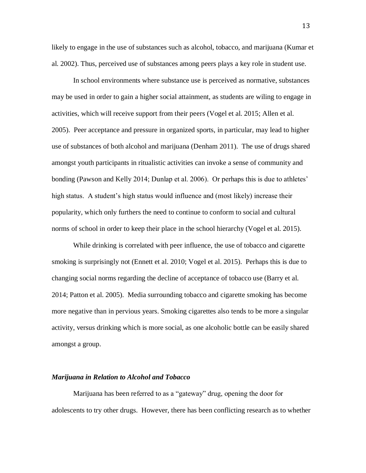likely to engage in the use of substances such as alcohol, tobacco, and marijuana (Kumar et al. 2002). Thus, perceived use of substances among peers plays a key role in student use.

In school environments where substance use is perceived as normative, substances may be used in order to gain a higher social attainment, as students are wiling to engage in activities, which will receive support from their peers (Vogel et al. 2015; Allen et al. 2005). Peer acceptance and pressure in organized sports, in particular, may lead to higher use of substances of both alcohol and marijuana (Denham 2011). The use of drugs shared amongst youth participants in ritualistic activities can invoke a sense of community and bonding (Pawson and Kelly 2014; Dunlap et al. 2006). Or perhaps this is due to athletes' high status. A student's high status would influence and (most likely) increase their popularity, which only furthers the need to continue to conform to social and cultural norms of school in order to keep their place in the school hierarchy (Vogel et al. 2015).

While drinking is correlated with peer influence, the use of tobacco and cigarette smoking is surprisingly not (Ennett et al. 2010; Vogel et al. 2015). Perhaps this is due to changing social norms regarding the decline of acceptance of tobacco use (Barry et al. 2014; Patton et al. 2005). Media surrounding tobacco and cigarette smoking has become more negative than in pervious years. Smoking cigarettes also tends to be more a singular activity, versus drinking which is more social, as one alcoholic bottle can be easily shared amongst a group.

#### *Marijuana in Relation to Alcohol and Tobacco*

Marijuana has been referred to as a "gateway" drug, opening the door for adolescents to try other drugs. However, there has been conflicting research as to whether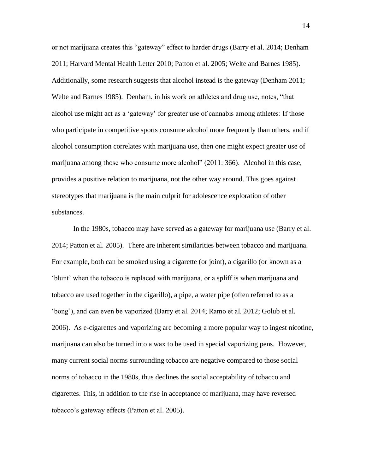or not marijuana creates this "gateway" effect to harder drugs (Barry et al. 2014; Denham 2011; Harvard Mental Health Letter 2010; Patton et al. 2005; Welte and Barnes 1985). Additionally, some research suggests that alcohol instead is the gateway (Denham 2011; Welte and Barnes 1985). Denham, in his work on athletes and drug use, notes, "that alcohol use might act as a 'gateway' for greater use of cannabis among athletes: If those who participate in competitive sports consume alcohol more frequently than others, and if alcohol consumption correlates with marijuana use, then one might expect greater use of marijuana among those who consume more alcohol" (2011: 366). Alcohol in this case, provides a positive relation to marijuana, not the other way around. This goes against stereotypes that marijuana is the main culprit for adolescence exploration of other substances.

In the 1980s, tobacco may have served as a gateway for marijuana use (Barry et al. 2014; Patton et al. 2005). There are inherent similarities between tobacco and marijuana. For example, both can be smoked using a cigarette (or joint), a cigarillo (or known as a 'blunt' when the tobacco is replaced with marijuana, or a spliff is when marijuana and tobacco are used together in the cigarillo), a pipe, a water pipe (often referred to as a 'bong'), and can even be vaporized (Barry et al. 2014; Ramo et al. 2012; Golub et al. 2006). As e-cigarettes and vaporizing are becoming a more popular way to ingest nicotine, marijuana can also be turned into a wax to be used in special vaporizing pens. However, many current social norms surrounding tobacco are negative compared to those social norms of tobacco in the 1980s, thus declines the social acceptability of tobacco and cigarettes. This, in addition to the rise in acceptance of marijuana, may have reversed tobacco's gateway effects (Patton et al. 2005).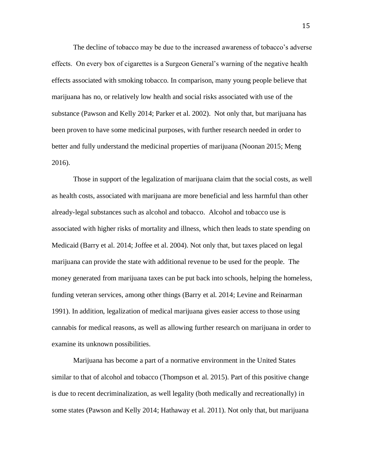The decline of tobacco may be due to the increased awareness of tobacco's adverse effects. On every box of cigarettes is a Surgeon General's warning of the negative health effects associated with smoking tobacco. In comparison, many young people believe that marijuana has no, or relatively low health and social risks associated with use of the substance (Pawson and Kelly 2014; Parker et al. 2002). Not only that, but marijuana has been proven to have some medicinal purposes, with further research needed in order to better and fully understand the medicinal properties of marijuana (Noonan 2015; Meng 2016).

Those in support of the legalization of marijuana claim that the social costs, as well as health costs, associated with marijuana are more beneficial and less harmful than other already-legal substances such as alcohol and tobacco. Alcohol and tobacco use is associated with higher risks of mortality and illness, which then leads to state spending on Medicaid (Barry et al. 2014; Joffee et al. 2004). Not only that, but taxes placed on legal marijuana can provide the state with additional revenue to be used for the people. The money generated from marijuana taxes can be put back into schools, helping the homeless, funding veteran services, among other things (Barry et al. 2014; Levine and Reinarman 1991). In addition, legalization of medical marijuana gives easier access to those using cannabis for medical reasons, as well as allowing further research on marijuana in order to examine its unknown possibilities.

Marijuana has become a part of a normative environment in the United States similar to that of alcohol and tobacco (Thompson et al. 2015). Part of this positive change is due to recent decriminalization, as well legality (both medically and recreationally) in some states (Pawson and Kelly 2014; Hathaway et al. 2011). Not only that, but marijuana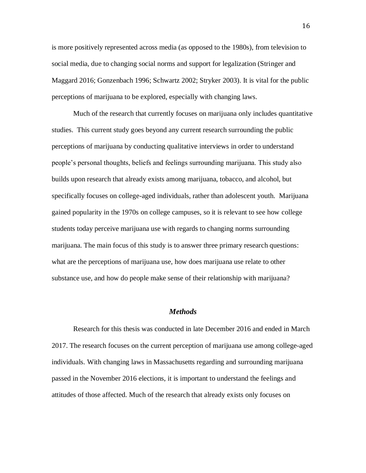is more positively represented across media (as opposed to the 1980s), from television to social media, due to changing social norms and support for legalization (Stringer and Maggard 2016; Gonzenbach 1996; Schwartz 2002; Stryker 2003). It is vital for the public perceptions of marijuana to be explored, especially with changing laws.

Much of the research that currently focuses on marijuana only includes quantitative studies. This current study goes beyond any current research surrounding the public perceptions of marijuana by conducting qualitative interviews in order to understand people's personal thoughts, beliefs and feelings surrounding marijuana. This study also builds upon research that already exists among marijuana, tobacco, and alcohol, but specifically focuses on college-aged individuals, rather than adolescent youth. Marijuana gained popularity in the 1970s on college campuses, so it is relevant to see how college students today perceive marijuana use with regards to changing norms surrounding marijuana. The main focus of this study is to answer three primary research questions: what are the perceptions of marijuana use, how does marijuana use relate to other substance use, and how do people make sense of their relationship with marijuana?

## *Methods*

Research for this thesis was conducted in late December 2016 and ended in March 2017. The research focuses on the current perception of marijuana use among college-aged individuals. With changing laws in Massachusetts regarding and surrounding marijuana passed in the November 2016 elections, it is important to understand the feelings and attitudes of those affected. Much of the research that already exists only focuses on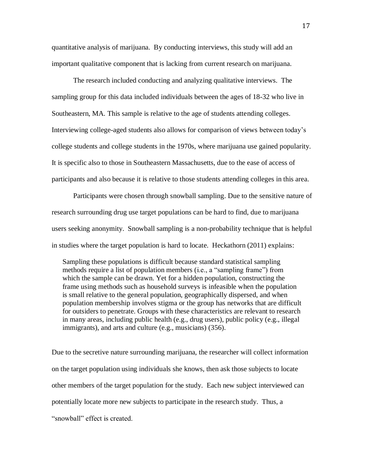quantitative analysis of marijuana. By conducting interviews, this study will add an important qualitative component that is lacking from current research on marijuana.

The research included conducting and analyzing qualitative interviews. The sampling group for this data included individuals between the ages of 18-32 who live in Southeastern, MA. This sample is relative to the age of students attending colleges. Interviewing college-aged students also allows for comparison of views between today's college students and college students in the 1970s, where marijuana use gained popularity. It is specific also to those in Southeastern Massachusetts, due to the ease of access of participants and also because it is relative to those students attending colleges in this area.

Participants were chosen through snowball sampling. Due to the sensitive nature of research surrounding drug use target populations can be hard to find, due to marijuana users seeking anonymity. Snowball sampling is a non-probability technique that is helpful in studies where the target population is hard to locate. Heckathorn (2011) explains:

Sampling these populations is difficult because standard statistical sampling methods require a list of population members (i.e., a "sampling frame") from which the sample can be drawn. Yet for a hidden population, constructing the frame using methods such as household surveys is infeasible when the population is small relative to the general population, geographically dispersed, and when population membership involves stigma or the group has networks that are difficult for outsiders to penetrate. Groups with these characteristics are relevant to research in many areas, including public health (e.g., drug users), public policy (e.g., illegal immigrants), and arts and culture (e.g., musicians) (356).

Due to the secretive nature surrounding marijuana, the researcher will collect information on the target population using individuals she knows, then ask those subjects to locate other members of the target population for the study. Each new subject interviewed can potentially locate more new subjects to participate in the research study. Thus, a "snowball" effect is created.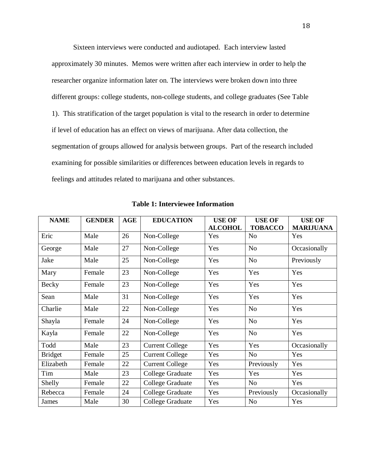Sixteen interviews were conducted and audiotaped. Each interview lasted approximately 30 minutes. Memos were written after each interview in order to help the researcher organize information later on. The interviews were broken down into three different groups: college students, non-college students, and college graduates (See Table 1). This stratification of the target population is vital to the research in order to determine if level of education has an effect on views of marijuana. After data collection, the segmentation of groups allowed for analysis between groups. Part of the research included examining for possible similarities or differences between education levels in regards to feelings and attitudes related to marijuana and other substances.

| <b>NAME</b>    | <b>GENDER</b> | <b>AGE</b> | <b>EDUCATION</b>       | <b>USE OF</b><br><b>ALCOHOL</b> | <b>USE OF</b><br><b>TOBACCO</b> | <b>USE OF</b><br><b>MARIJUANA</b> |
|----------------|---------------|------------|------------------------|---------------------------------|---------------------------------|-----------------------------------|
| Eric           | Male          | 26         | Non-College            | Yes                             | N <sub>0</sub>                  | Yes                               |
| George         | Male          | 27         | Non-College            | Yes                             | N <sub>o</sub>                  | Occasionally                      |
| Jake           | Male          | 25         | Non-College            | Yes                             | No                              | Previously                        |
| Mary           | Female        | 23         | Non-College            | Yes                             | Yes                             | Yes                               |
| <b>Becky</b>   | Female        | 23         | Non-College            | Yes                             | Yes                             | Yes                               |
| Sean           | Male          | 31         | Non-College            | Yes                             | Yes                             | Yes                               |
| Charlie        | Male          | 22         | Non-College            | Yes                             | N <sub>0</sub>                  | Yes                               |
| Shayla         | Female        | 24         | Non-College            | Yes                             | N <sub>o</sub>                  | Yes                               |
| Kayla          | Female        | 22         | Non-College            | Yes                             | N <sub>o</sub>                  | Yes                               |
| Todd           | Male          | 23         | <b>Current College</b> | Yes                             | Yes                             | Occasionally                      |
| <b>Bridget</b> | Female        | 25         | <b>Current College</b> | Yes                             | N <sub>0</sub>                  | Yes                               |
| Elizabeth      | Female        | 22         | <b>Current College</b> | Yes                             | Previously                      | Yes                               |
| Tim            | Male          | 23         | College Graduate       | Yes                             | Yes                             | Yes                               |
| Shelly         | Female        | 22         | College Graduate       | Yes                             | No                              | Yes                               |
| Rebecca        | Female        | 24         | College Graduate       | Yes                             | Previously                      | Occasionally                      |
| James          | Male          | 30         | College Graduate       | Yes                             | N <sub>0</sub>                  | Yes                               |

**Table 1: Interviewee Information**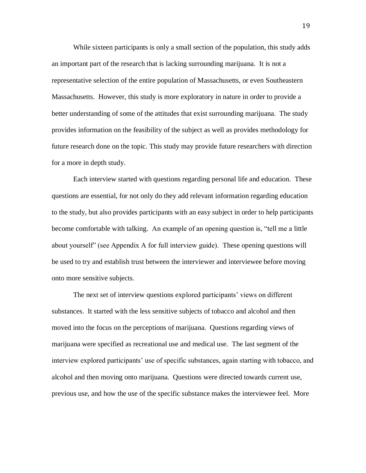While sixteen participants is only a small section of the population, this study adds an important part of the research that is lacking surrounding marijuana. It is not a representative selection of the entire population of Massachusetts, or even Southeastern Massachusetts. However, this study is more exploratory in nature in order to provide a better understanding of some of the attitudes that exist surrounding marijuana. The study provides information on the feasibility of the subject as well as provides methodology for future research done on the topic. This study may provide future researchers with direction for a more in depth study.

Each interview started with questions regarding personal life and education. These questions are essential, for not only do they add relevant information regarding education to the study, but also provides participants with an easy subject in order to help participants become comfortable with talking. An example of an opening question is, "tell me a little about yourself" (see Appendix A for full interview guide). These opening questions will be used to try and establish trust between the interviewer and interviewee before moving onto more sensitive subjects.

The next set of interview questions explored participants' views on different substances. It started with the less sensitive subjects of tobacco and alcohol and then moved into the focus on the perceptions of marijuana. Questions regarding views of marijuana were specified as recreational use and medical use. The last segment of the interview explored participants' use of specific substances, again starting with tobacco, and alcohol and then moving onto marijuana. Questions were directed towards current use, previous use, and how the use of the specific substance makes the interviewee feel. More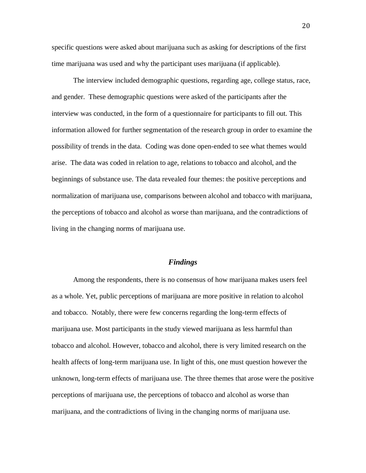specific questions were asked about marijuana such as asking for descriptions of the first time marijuana was used and why the participant uses marijuana (if applicable).

The interview included demographic questions, regarding age, college status, race, and gender. These demographic questions were asked of the participants after the interview was conducted, in the form of a questionnaire for participants to fill out. This information allowed for further segmentation of the research group in order to examine the possibility of trends in the data. Coding was done open-ended to see what themes would arise. The data was coded in relation to age, relations to tobacco and alcohol, and the beginnings of substance use. The data revealed four themes: the positive perceptions and normalization of marijuana use, comparisons between alcohol and tobacco with marijuana, the perceptions of tobacco and alcohol as worse than marijuana, and the contradictions of living in the changing norms of marijuana use.

## *Findings*

Among the respondents, there is no consensus of how marijuana makes users feel as a whole. Yet, public perceptions of marijuana are more positive in relation to alcohol and tobacco. Notably, there were few concerns regarding the long-term effects of marijuana use. Most participants in the study viewed marijuana as less harmful than tobacco and alcohol. However, tobacco and alcohol, there is very limited research on the health affects of long-term marijuana use. In light of this, one must question however the unknown, long-term effects of marijuana use. The three themes that arose were the positive perceptions of marijuana use, the perceptions of tobacco and alcohol as worse than marijuana, and the contradictions of living in the changing norms of marijuana use.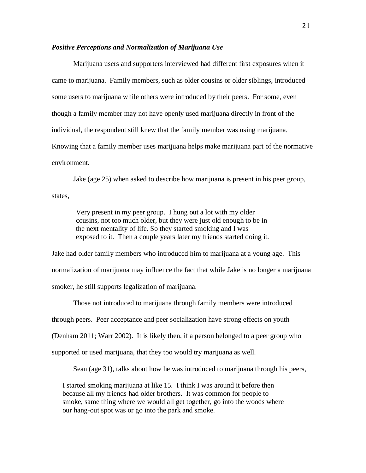## *Positive Perceptions and Normalization of Marijuana Use*

Marijuana users and supporters interviewed had different first exposures when it came to marijuana. Family members, such as older cousins or older siblings, introduced some users to marijuana while others were introduced by their peers. For some, even though a family member may not have openly used marijuana directly in front of the individual, the respondent still knew that the family member was using marijuana. Knowing that a family member uses marijuana helps make marijuana part of the normative environment.

Jake (age 25) when asked to describe how marijuana is present in his peer group,

states,

Very present in my peer group. I hung out a lot with my older cousins, not too much older, but they were just old enough to be in the next mentality of life. So they started smoking and I was exposed to it. Then a couple years later my friends started doing it.

Jake had older family members who introduced him to marijuana at a young age. This normalization of marijuana may influence the fact that while Jake is no longer a marijuana smoker, he still supports legalization of marijuana.

Those not introduced to marijuana through family members were introduced through peers. Peer acceptance and peer socialization have strong effects on youth (Denham 2011; Warr 2002). It is likely then, if a person belonged to a peer group who supported or used marijuana, that they too would try marijuana as well.

Sean (age 31), talks about how he was introduced to marijuana through his peers,

I started smoking marijuana at like 15. I think I was around it before then because all my friends had older brothers. It was common for people to smoke, same thing where we would all get together, go into the woods where our hang-out spot was or go into the park and smoke.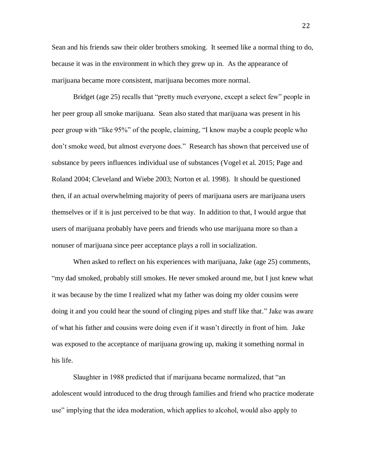Sean and his friends saw their older brothers smoking. It seemed like a normal thing to do, because it was in the environment in which they grew up in. As the appearance of marijuana became more consistent, marijuana becomes more normal.

Bridget (age 25) recalls that "pretty much everyone, except a select few" people in her peer group all smoke marijuana. Sean also stated that marijuana was present in his peer group with "like 95%" of the people, claiming, "I know maybe a couple people who don't smoke weed, but almost everyone does." Research has shown that perceived use of substance by peers influences individual use of substances (Vogel et al. 2015; Page and Roland 2004; Cleveland and Wiebe 2003; Norton et al. 1998). It should be questioned then, if an actual overwhelming majority of peers of marijuana users are marijuana users themselves or if it is just perceived to be that way. In addition to that, I would argue that users of marijuana probably have peers and friends who use marijuana more so than a nonuser of marijuana since peer acceptance plays a roll in socialization.

When asked to reflect on his experiences with marijuana, Jake (age 25) comments, "my dad smoked, probably still smokes. He never smoked around me, but I just knew what it was because by the time I realized what my father was doing my older cousins were doing it and you could hear the sound of clinging pipes and stuff like that." Jake was aware of what his father and cousins were doing even if it wasn't directly in front of him. Jake was exposed to the acceptance of marijuana growing up, making it something normal in his life.

Slaughter in 1988 predicted that if marijuana became normalized, that "an adolescent would introduced to the drug through families and friend who practice moderate use" implying that the idea moderation, which applies to alcohol, would also apply to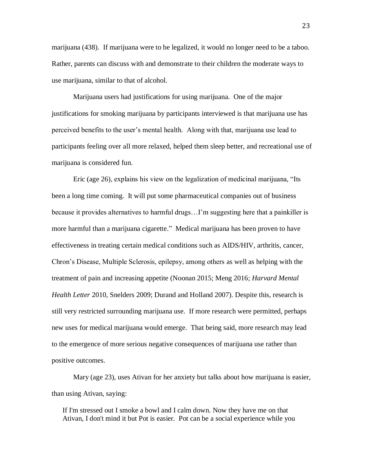marijuana (438). If marijuana were to be legalized, it would no longer need to be a taboo. Rather, parents can discuss with and demonstrate to their children the moderate ways to use marijuana, similar to that of alcohol.

Marijuana users had justifications for using marijuana. One of the major justifications for smoking marijuana by participants interviewed is that marijuana use has perceived benefits to the user's mental health. Along with that, marijuana use lead to participants feeling over all more relaxed, helped them sleep better, and recreational use of marijuana is considered fun.

Eric (age 26), explains his view on the legalization of medicinal marijuana, "Its been a long time coming. It will put some pharmaceutical companies out of business because it provides alternatives to harmful drugs…I'm suggesting here that a painkiller is more harmful than a marijuana cigarette." Medical marijuana has been proven to have effectiveness in treating certain medical conditions such as AIDS/HIV, arthritis, cancer, Chron's Disease, Multiple Sclerosis, epilepsy, among others as well as helping with the treatment of pain and increasing appetite (Noonan 2015; Meng 2016; *Harvard Mental Health Letter* 2010, Snelders 2009; Durand and Holland 2007). Despite this, research is still very restricted surrounding marijuana use. If more research were permitted, perhaps new uses for medical marijuana would emerge. That being said, more research may lead to the emergence of more serious negative consequences of marijuana use rather than positive outcomes.

Mary (age 23), uses Ativan for her anxiety but talks about how marijuana is easier, than using Ativan, saying:

If I'm stressed out I smoke a bowl and I calm down. Now they have me on that Ativan, I don't mind it but Pot is easier. Pot can be a social experience while you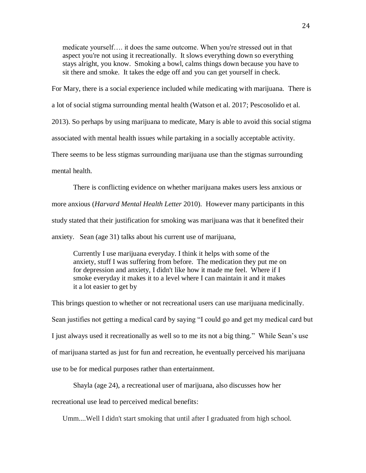medicate yourself…. it does the same outcome. When you're stressed out in that aspect you're not using it recreationally. It slows everything down so everything stays alright, you know. Smoking a bowl, calms things down because you have to sit there and smoke. It takes the edge off and you can get yourself in check.

For Mary, there is a social experience included while medicating with marijuana. There is

a lot of social stigma surrounding mental health (Watson et al. 2017; Pescosolido et al.

2013). So perhaps by using marijuana to medicate, Mary is able to avoid this social stigma

associated with mental health issues while partaking in a socially acceptable activity.

There seems to be less stigmas surrounding marijuana use than the stigmas surrounding

mental health.

There is conflicting evidence on whether marijuana makes users less anxious or more anxious (*Harvard Mental Health Letter* 2010). However many participants in this study stated that their justification for smoking was marijuana was that it benefited their anxiety. Sean (age 31) talks about his current use of marijuana,

Currently I use marijuana everyday. I think it helps with some of the anxiety, stuff I was suffering from before. The medication they put me on for depression and anxiety, I didn't like how it made me feel. Where if I smoke everyday it makes it to a level where I can maintain it and it makes it a lot easier to get by

This brings question to whether or not recreational users can use marijuana medicinally. Sean justifies not getting a medical card by saying "I could go and get my medical card but I just always used it recreationally as well so to me its not a big thing." While Sean's use of marijuana started as just for fun and recreation, he eventually perceived his marijuana use to be for medical purposes rather than entertainment.

Shayla (age 24), a recreational user of marijuana, also discusses how her recreational use lead to perceived medical benefits:

Umm....Well I didn't start smoking that until after I graduated from high school.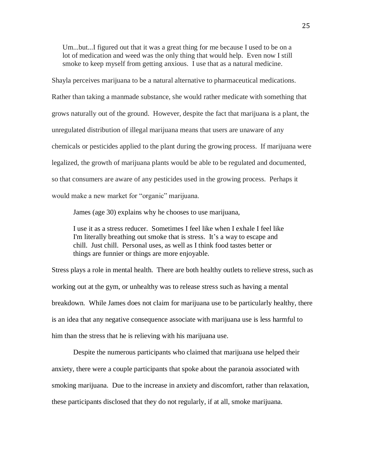Um...but...I figured out that it was a great thing for me because I used to be on a lot of medication and weed was the only thing that would help. Even now I still smoke to keep myself from getting anxious. I use that as a natural medicine.

Shayla perceives marijuana to be a natural alternative to pharmaceutical medications. Rather than taking a manmade substance, she would rather medicate with something that grows naturally out of the ground. However, despite the fact that marijuana is a plant, the unregulated distribution of illegal marijuana means that users are unaware of any chemicals or pesticides applied to the plant during the growing process. If marijuana were legalized, the growth of marijuana plants would be able to be regulated and documented, so that consumers are aware of any pesticides used in the growing process. Perhaps it would make a new market for "organic" marijuana.

James (age 30) explains why he chooses to use marijuana,

I use it as a stress reducer. Sometimes I feel like when I exhale I feel like I'm literally breathing out smoke that is stress. It's a way to escape and chill. Just chill. Personal uses, as well as I think food tastes better or things are funnier or things are more enjoyable.

Stress plays a role in mental health. There are both healthy outlets to relieve stress, such as working out at the gym, or unhealthy was to release stress such as having a mental breakdown. While James does not claim for marijuana use to be particularly healthy, there is an idea that any negative consequence associate with marijuana use is less harmful to him than the stress that he is relieving with his marijuana use.

Despite the numerous participants who claimed that marijuana use helped their anxiety, there were a couple participants that spoke about the paranoia associated with smoking marijuana. Due to the increase in anxiety and discomfort, rather than relaxation, these participants disclosed that they do not regularly, if at all, smoke marijuana.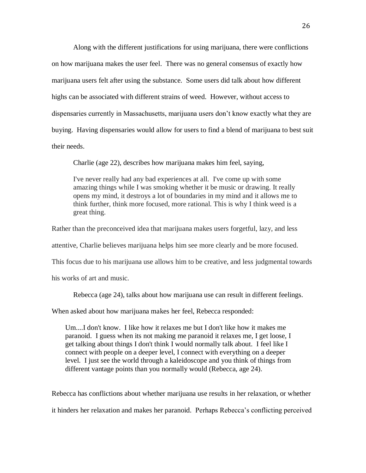Along with the different justifications for using marijuana, there were conflictions on how marijuana makes the user feel. There was no general consensus of exactly how marijuana users felt after using the substance. Some users did talk about how different highs can be associated with different strains of weed. However, without access to dispensaries currently in Massachusetts, marijuana users don't know exactly what they are buying. Having dispensaries would allow for users to find a blend of marijuana to best suit their needs.

Charlie (age 22), describes how marijuana makes him feel, saying,

I've never really had any bad experiences at all. I've come up with some amazing things while I was smoking whether it be music or drawing. It really opens my mind, it destroys a lot of boundaries in my mind and it allows me to think further, think more focused, more rational. This is why I think weed is a great thing.

Rather than the preconceived idea that marijuana makes users forgetful, lazy, and less

attentive, Charlie believes marijuana helps him see more clearly and be more focused.

This focus due to his marijuana use allows him to be creative, and less judgmental towards

his works of art and music.

Rebecca (age 24), talks about how marijuana use can result in different feelings.

When asked about how marijuana makes her feel, Rebecca responded:

Um....I don't know. I like how it relaxes me but I don't like how it makes me paranoid. I guess when its not making me paranoid it relaxes me, I get loose, I get talking about things I don't think I would normally talk about. I feel like I connect with people on a deeper level, I connect with everything on a deeper level. I just see the world through a kaleidoscope and you think of things from different vantage points than you normally would (Rebecca, age 24).

Rebecca has conflictions about whether marijuana use results in her relaxation, or whether it hinders her relaxation and makes her paranoid. Perhaps Rebecca's conflicting perceived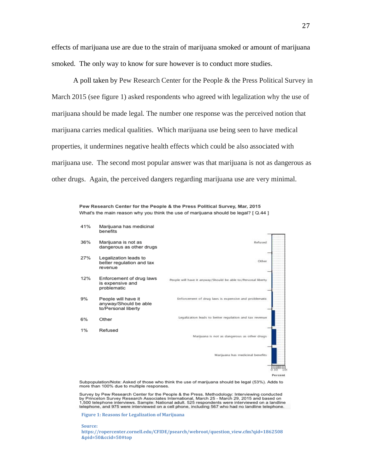effects of marijuana use are due to the strain of marijuana smoked or amount of marijuana smoked. The only way to know for sure however is to conduct more studies.

A poll taken by Pew Research Center for the People & the Press Political Survey in March 2015 (see figure 1) asked respondents who agreed with legalization why the use of marijuana should be made legal. The number one response was the perceived notion that marijuana carries medical qualities. Which marijuana use being seen to have medical properties, it undermines negative health effects which could be also associated with marijuana use. The second most popular answer was that marijuana is not as dangerous as other drugs. Again, the perceived dangers regarding marijuana use are very minimal.

> Pew Research Center for the People & the Press Political Survey, Mar, 2015 What's the main reason why you think the use of marijuana should be legal? [ Q.44 ]



Subpopulation/Note: Asked of those who think the use of marijuana should be legal (53%). Adds to more than 100% due to multiple responses.

Survey by Pew Research Center for the People & the Press. Methodology: Interviewing conducted by Princeton Survey Research Associates International, March 25 - March 29, 2015 and based on<br>1,500 telephone interviews. Sample: National adult. 525 respondents were interviewed on a landline telephone, and 975 were interviewed on a cell phone, including 567 who had no landline telephone.

**Figure 1: Reasons for Legalization of Marijuana**

**Source:** 

**https://ropercenter.cornell.edu/CFIDE/psearch/webroot/question\_view.cfm?qid=1862508 &pid=50&ccid=50#top**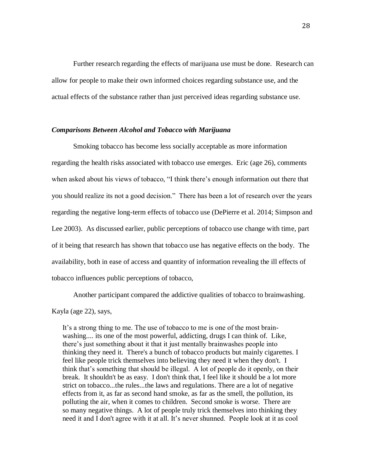Further research regarding the effects of marijuana use must be done. Research can allow for people to make their own informed choices regarding substance use, and the actual effects of the substance rather than just perceived ideas regarding substance use.

## *Comparisons Between Alcohol and Tobacco with Marijuana*

Smoking tobacco has become less socially acceptable as more information regarding the health risks associated with tobacco use emerges. Eric (age 26), comments when asked about his views of tobacco, "I think there's enough information out there that you should realize its not a good decision." There has been a lot of research over the years regarding the negative long-term effects of tobacco use (DePierre et al. 2014; Simpson and Lee 2003). As discussed earlier, public perceptions of tobacco use change with time, part of it being that research has shown that tobacco use has negative effects on the body. The availability, both in ease of access and quantity of information revealing the ill effects of tobacco influences public perceptions of tobacco,

Another participant compared the addictive qualities of tobacco to brainwashing.

Kayla (age 22), says,

 It's a strong thing to me. The use of tobacco to me is one of the most brainwashing.... its one of the most powerful, addicting, drugs I can think of. Like, there's just something about it that it just mentally brainwashes people into thinking they need it. There's a bunch of tobacco products but mainly cigarettes. I feel like people trick themselves into believing they need it when they don't. I think that's something that should be illegal. A lot of people do it openly, on their break. It shouldn't be as easy. I don't think that, I feel like it should be a lot more strict on tobacco...the rules...the laws and regulations. There are a lot of negative effects from it, as far as second hand smoke, as far as the smell, the pollution, its polluting the air, when it comes to children. Second smoke is worse. There are so many negative things. A lot of people truly trick themselves into thinking they need it and I don't agree with it at all. It's never shunned. People look at it as cool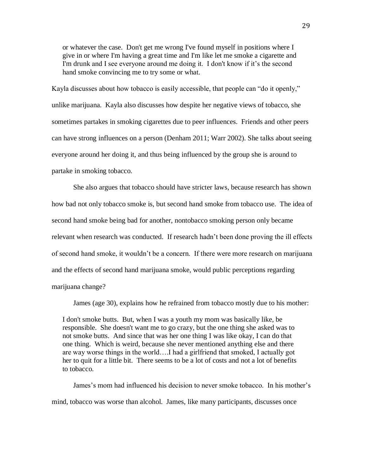or whatever the case. Don't get me wrong I've found myself in positions where I give in or where I'm having a great time and I'm like let me smoke a cigarette and I'm drunk and I see everyone around me doing it. I don't know if it's the second hand smoke convincing me to try some or what.

Kayla discusses about how tobacco is easily accessible, that people can "do it openly," unlike marijuana. Kayla also discusses how despite her negative views of tobacco, she sometimes partakes in smoking cigarettes due to peer influences. Friends and other peers can have strong influences on a person (Denham 2011; Warr 2002). She talks about seeing everyone around her doing it, and thus being influenced by the group she is around to partake in smoking tobacco.

She also argues that tobacco should have stricter laws, because research has shown how bad not only tobacco smoke is, but second hand smoke from tobacco use. The idea of second hand smoke being bad for another, nontobacco smoking person only became relevant when research was conducted. If research hadn't been done proving the ill effects of second hand smoke, it wouldn't be a concern. If there were more research on marijuana and the effects of second hand marijuana smoke, would public perceptions regarding marijuana change?

James (age 30), explains how he refrained from tobacco mostly due to his mother:

I don't smoke butts. But, when I was a youth my mom was basically like, be responsible. She doesn't want me to go crazy, but the one thing she asked was to not smoke butts. And since that was her one thing I was like okay, I can do that one thing. Which is weird, because she never mentioned anything else and there are way worse things in the world….I had a girlfriend that smoked, I actually got her to quit for a little bit. There seems to be a lot of costs and not a lot of benefits to tobacco.

James's mom had influenced his decision to never smoke tobacco. In his mother's mind, tobacco was worse than alcohol. James, like many participants, discusses once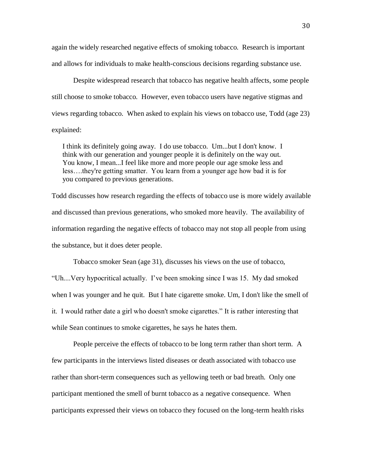again the widely researched negative effects of smoking tobacco. Research is important and allows for individuals to make health-conscious decisions regarding substance use.

Despite widespread research that tobacco has negative health affects, some people still choose to smoke tobacco. However, even tobacco users have negative stigmas and views regarding tobacco. When asked to explain his views on tobacco use, Todd (age 23) explained:

I think its definitely going away. I do use tobacco. Um...but I don't know. I think with our generation and younger people it is definitely on the way out. You know, I mean...I feel like more and more people our age smoke less and less….they're getting smatter. You learn from a younger age how bad it is for you compared to previous generations.

Todd discusses how research regarding the effects of tobacco use is more widely available and discussed than previous generations, who smoked more heavily. The availability of information regarding the negative effects of tobacco may not stop all people from using the substance, but it does deter people.

Tobacco smoker Sean (age 31), discusses his views on the use of tobacco, "Uh....Very hypocritical actually. I've been smoking since I was 15. My dad smoked when I was younger and he quit. But I hate cigarette smoke. Um, I don't like the smell of it. I would rather date a girl who doesn't smoke cigarettes." It is rather interesting that while Sean continues to smoke cigarettes, he says he hates them.

People perceive the effects of tobacco to be long term rather than short term. A few participants in the interviews listed diseases or death associated with tobacco use rather than short-term consequences such as yellowing teeth or bad breath. Only one participant mentioned the smell of burnt tobacco as a negative consequence. When participants expressed their views on tobacco they focused on the long-term health risks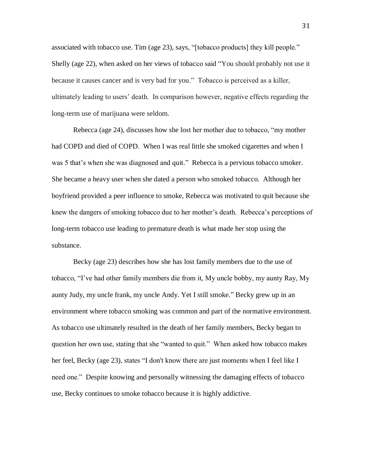associated with tobacco use. Tim (age 23), says, "[tobacco products] they kill people." Shelly (age 22), when asked on her views of tobacco said "You should probably not use it because it causes cancer and is very bad for you." Tobacco is perceived as a killer, ultimately leading to users' death. In comparison however, negative effects regarding the long-term use of marijuana were seldom.

Rebecca (age 24), discusses how she lost her mother due to tobacco, "my mother had COPD and died of COPD. When I was real little she smoked cigarettes and when I was 5 that's when she was diagnosed and quit." Rebecca is a pervious tobacco smoker. She became a heavy user when she dated a person who smoked tobacco. Although her boyfriend provided a peer influence to smoke, Rebecca was motivated to quit because she knew the dangers of smoking tobacco due to her mother's death. Rebecca's perceptions of long-term tobacco use leading to premature death is what made her stop using the substance.

Becky (age 23) describes how she has lost family members due to the use of tobacco, "I've had other family members die from it, My uncle bobby, my aunty Ray, My aunty Judy, my uncle frank, my uncle Andy. Yet I still smoke." Becky grew up in an environment where tobacco smoking was common and part of the normative environment. As tobacco use ultimately resulted in the death of her family members, Becky began to question her own use, stating that she "wanted to quit." When asked how tobacco makes her feel, Becky (age 23), states "I don't know there are just moments when I feel like I need one." Despite knowing and personally witnessing the damaging effects of tobacco use, Becky continues to smoke tobacco because it is highly addictive.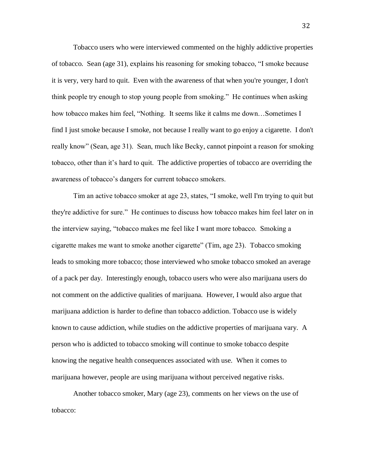Tobacco users who were interviewed commented on the highly addictive properties of tobacco. Sean (age 31), explains his reasoning for smoking tobacco, "I smoke because it is very, very hard to quit. Even with the awareness of that when you're younger, I don't think people try enough to stop young people from smoking." He continues when asking how tobacco makes him feel, "Nothing. It seems like it calms me down…Sometimes I find I just smoke because I smoke, not because I really want to go enjoy a cigarette. I don't really know" (Sean, age 31). Sean, much like Becky, cannot pinpoint a reason for smoking tobacco, other than it's hard to quit. The addictive properties of tobacco are overriding the awareness of tobacco's dangers for current tobacco smokers.

Tim an active tobacco smoker at age 23, states, "I smoke, well I'm trying to quit but they're addictive for sure." He continues to discuss how tobacco makes him feel later on in the interview saying, "tobacco makes me feel like I want more tobacco. Smoking a cigarette makes me want to smoke another cigarette" (Tim, age 23). Tobacco smoking leads to smoking more tobacco; those interviewed who smoke tobacco smoked an average of a pack per day. Interestingly enough, tobacco users who were also marijuana users do not comment on the addictive qualities of marijuana. However, I would also argue that marijuana addiction is harder to define than tobacco addiction. Tobacco use is widely known to cause addiction, while studies on the addictive properties of marijuana vary. A person who is addicted to tobacco smoking will continue to smoke tobacco despite knowing the negative health consequences associated with use. When it comes to marijuana however, people are using marijuana without perceived negative risks.

Another tobacco smoker, Mary (age 23), comments on her views on the use of tobacco:

32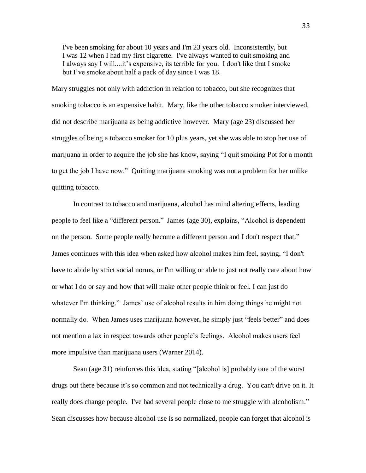I've been smoking for about 10 years and I'm 23 years old. Inconsistently, but I was 12 when I had my first cigarette. I've always wanted to quit smoking and I always say I will....it's expensive, its terrible for you. I don't like that I smoke but I've smoke about half a pack of day since I was 18.

Mary struggles not only with addiction in relation to tobacco, but she recognizes that smoking tobacco is an expensive habit. Mary, like the other tobacco smoker interviewed, did not describe marijuana as being addictive however. Mary (age 23) discussed her struggles of being a tobacco smoker for 10 plus years, yet she was able to stop her use of marijuana in order to acquire the job she has know, saying "I quit smoking Pot for a month to get the job I have now." Quitting marijuana smoking was not a problem for her unlike quitting tobacco.

In contrast to tobacco and marijuana, alcohol has mind altering effects, leading people to feel like a "different person." James (age 30), explains, "Alcohol is dependent on the person. Some people really become a different person and I don't respect that." James continues with this idea when asked how alcohol makes him feel, saying, "I don't have to abide by strict social norms, or I'm willing or able to just not really care about how or what I do or say and how that will make other people think or feel. I can just do whatever I'm thinking." James' use of alcohol results in him doing things he might not normally do. When James uses marijuana however, he simply just "feels better" and does not mention a lax in respect towards other people's feelings. Alcohol makes users feel more impulsive than marijuana users (Warner 2014).

Sean (age 31) reinforces this idea, stating "[alcohol is] probably one of the worst drugs out there because it's so common and not technically a drug. You can't drive on it. It really does change people. I've had several people close to me struggle with alcoholism." Sean discusses how because alcohol use is so normalized, people can forget that alcohol is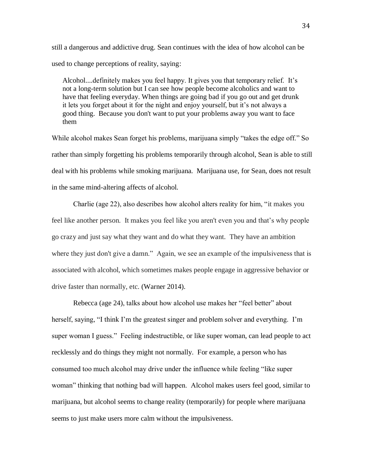still a dangerous and addictive drug. Sean continues with the idea of how alcohol can be used to change perceptions of reality, saying:

Alcohol....definitely makes you feel happy. It gives you that temporary relief. It's not a long-term solution but I can see how people become alcoholics and want to have that feeling everyday. When things are going bad if you go out and get drunk it lets you forget about it for the night and enjoy yourself, but it's not always a good thing. Because you don't want to put your problems away you want to face them

While alcohol makes Sean forget his problems, marijuana simply "takes the edge off." So rather than simply forgetting his problems temporarily through alcohol, Sean is able to still deal with his problems while smoking marijuana. Marijuana use, for Sean, does not result in the same mind-altering affects of alcohol.

Charlie (age 22), also describes how alcohol alters reality for him, "it makes you feel like another person. It makes you feel like you aren't even you and that's why people go crazy and just say what they want and do what they want. They have an ambition where they just don't give a damn." Again, we see an example of the impulsiveness that is associated with alcohol, which sometimes makes people engage in aggressive behavior or drive faster than normally, etc. (Warner 2014).

Rebecca (age 24), talks about how alcohol use makes her "feel better" about herself, saying, "I think I'm the greatest singer and problem solver and everything. I'm super woman I guess." Feeling indestructible, or like super woman, can lead people to act recklessly and do things they might not normally. For example, a person who has consumed too much alcohol may drive under the influence while feeling "like super woman" thinking that nothing bad will happen. Alcohol makes users feel good, similar to marijuana, but alcohol seems to change reality (temporarily) for people where marijuana seems to just make users more calm without the impulsiveness.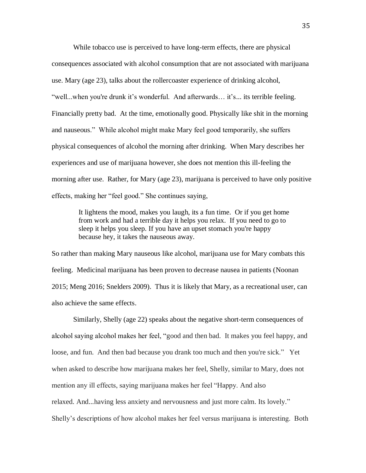While tobacco use is perceived to have long-term effects, there are physical consequences associated with alcohol consumption that are not associated with marijuana use. Mary (age 23), talks about the rollercoaster experience of drinking alcohol, "well...when you're drunk it's wonderful. And afterwards… it's... its terrible feeling. Financially pretty bad. At the time, emotionally good. Physically like shit in the morning and nauseous." While alcohol might make Mary feel good temporarily, she suffers physical consequences of alcohol the morning after drinking. When Mary describes her experiences and use of marijuana however, she does not mention this ill-feeling the morning after use. Rather, for Mary (age 23), marijuana is perceived to have only positive effects, making her "feel good." She continues saying,

> It lightens the mood, makes you laugh, its a fun time. Or if you get home from work and had a terrible day it helps you relax. If you need to go to sleep it helps you sleep. If you have an upset stomach you're happy because hey, it takes the nauseous away.

So rather than making Mary nauseous like alcohol, marijuana use for Mary combats this feeling. Medicinal marijuana has been proven to decrease nausea in patients (Noonan 2015; Meng 2016; Snelders 2009). Thus it is likely that Mary, as a recreational user, can also achieve the same effects.

Similarly, Shelly (age 22) speaks about the negative short-term consequences of alcohol saying alcohol makes her feel, "good and then bad. It makes you feel happy, and loose, and fun. And then bad because you drank too much and then you're sick." Yet when asked to describe how marijuana makes her feel, Shelly, similar to Mary, does not mention any ill effects, saying marijuana makes her feel "Happy. And also relaxed. And...having less anxiety and nervousness and just more calm. Its lovely." Shelly's descriptions of how alcohol makes her feel versus marijuana is interesting. Both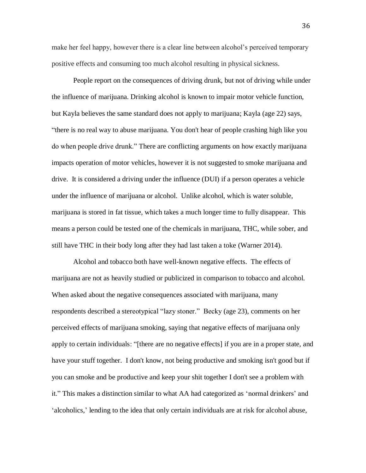make her feel happy, however there is a clear line between alcohol's perceived temporary positive effects and consuming too much alcohol resulting in physical sickness.

People report on the consequences of driving drunk, but not of driving while under the influence of marijuana. Drinking alcohol is known to impair motor vehicle function, but Kayla believes the same standard does not apply to marijuana; Kayla (age 22) says, "there is no real way to abuse marijuana. You don't hear of people crashing high like you do when people drive drunk." There are conflicting arguments on how exactly marijuana impacts operation of motor vehicles, however it is not suggested to smoke marijuana and drive. It is considered a driving under the influence (DUI) if a person operates a vehicle under the influence of marijuana or alcohol. Unlike alcohol, which is water soluble, marijuana is stored in fat tissue, which takes a much longer time to fully disappear. This means a person could be tested one of the chemicals in marijuana, THC, while sober, and still have THC in their body long after they had last taken a toke (Warner 2014).

Alcohol and tobacco both have well-known negative effects. The effects of marijuana are not as heavily studied or publicized in comparison to tobacco and alcohol. When asked about the negative consequences associated with marijuana, many respondents described a stereotypical "lazy stoner." Becky (age 23), comments on her perceived effects of marijuana smoking, saying that negative effects of marijuana only apply to certain individuals: "[there are no negative effects] if you are in a proper state, and have your stuff together. I don't know, not being productive and smoking isn't good but if you can smoke and be productive and keep your shit together I don't see a problem with it." This makes a distinction similar to what AA had categorized as 'normal drinkers' and 'alcoholics,' lending to the idea that only certain individuals are at risk for alcohol abuse,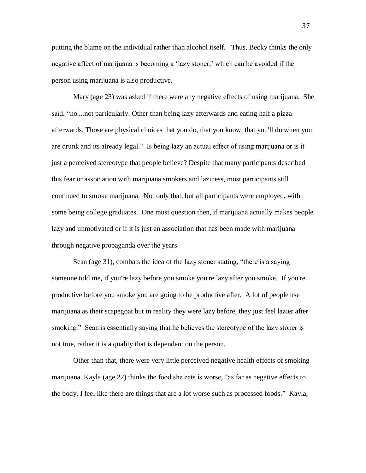putting the blame on the individual rather than alcohol itself. Thus, Becky thinks the only negative affect of marijuana is becoming a 'lazy stoner,' which can be avoided if the person using marijuana is also productive.

Mary (age 23) was asked if there were any negative effects of using marijuana. She said, "no....not particularly. Other than being lazy afterwards and eating half a pizza afterwards. Those are physical choices that you do, that you know, that you'll do when you are drunk and its already legal." Is being lazy an actual effect of using marijuana or is it just a perceived stereotype that people believe? Despite that many participants described this fear or association with marijuana smokers and laziness, most participants still continued to smoke marijuana. Not only that, but all participants were employed, with some being college graduates. One must question then, if marijuana actually makes people lazy and unmotivated or if it is just an association that has been made with marijuana through negative propaganda over the years.

Sean (age 31), combats the idea of the lazy stoner stating, "there is a saying someone told me, if you're lazy before you smoke you're lazy after you smoke. If you're productive before you smoke you are going to be productive after. A lot of people use marijuana as their scapegoat but in reality they were lazy before, they just feel lazier after smoking." Sean is essentially saying that he believes the stereotype of the lazy stoner is not true, rather it is a quality that is dependent on the person.

Other than that, there were very little perceived negative health effects of smoking marijuana. Kayla (age 22) thinks the food she eats is worse, "as far as negative effects to the body, I feel like there are things that are a lot worse such as processed foods." Kayla,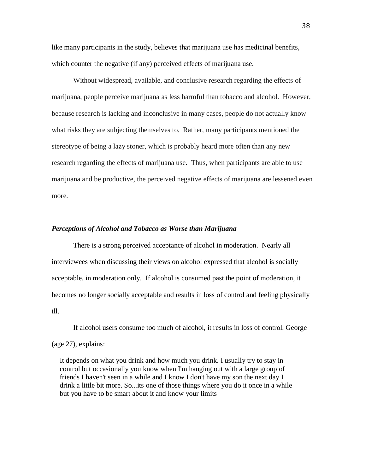like many participants in the study, believes that marijuana use has medicinal benefits, which counter the negative (if any) perceived effects of marijuana use.

Without widespread, available, and conclusive research regarding the effects of marijuana, people perceive marijuana as less harmful than tobacco and alcohol. However, because research is lacking and inconclusive in many cases, people do not actually know what risks they are subjecting themselves to. Rather, many participants mentioned the stereotype of being a lazy stoner, which is probably heard more often than any new research regarding the effects of marijuana use. Thus, when participants are able to use marijuana and be productive, the perceived negative effects of marijuana are lessened even more.

#### *Perceptions of Alcohol and Tobacco as Worse than Marijuana*

There is a strong perceived acceptance of alcohol in moderation. Nearly all interviewees when discussing their views on alcohol expressed that alcohol is socially acceptable, in moderation only. If alcohol is consumed past the point of moderation, it becomes no longer socially acceptable and results in loss of control and feeling physically ill.

If alcohol users consume too much of alcohol, it results in loss of control. George (age 27), explains:

It depends on what you drink and how much you drink. I usually try to stay in control but occasionally you know when I'm hanging out with a large group of friends I haven't seen in a while and I know I don't have my son the next day I drink a little bit more. So...its one of those things where you do it once in a while but you have to be smart about it and know your limits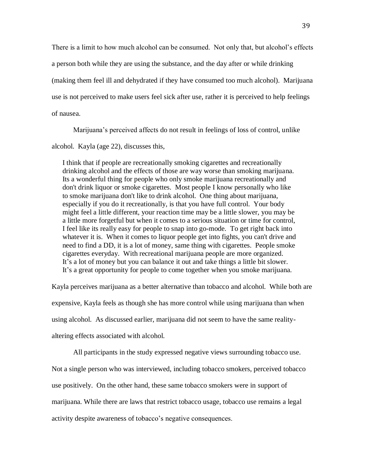There is a limit to how much alcohol can be consumed. Not only that, but alcohol's effects a person both while they are using the substance, and the day after or while drinking (making them feel ill and dehydrated if they have consumed too much alcohol). Marijuana use is not perceived to make users feel sick after use, rather it is perceived to help feelings of nausea.

Marijuana's perceived affects do not result in feelings of loss of control, unlike

alcohol. Kayla (age 22), discusses this,

I think that if people are recreationally smoking cigarettes and recreationally drinking alcohol and the effects of those are way worse than smoking marijuana. Its a wonderful thing for people who only smoke marijuana recreationally and don't drink liquor or smoke cigarettes. Most people I know personally who like to smoke marijuana don't like to drink alcohol. One thing about marijuana, especially if you do it recreationally, is that you have full control. Your body might feel a little different, your reaction time may be a little slower, you may be a little more forgetful but when it comes to a serious situation or time for control, I feel like its really easy for people to snap into go-mode. To get right back into whatever it is. When it comes to liquor people get into fights, you can't drive and need to find a DD, it is a lot of money, same thing with cigarettes. People smoke cigarettes everyday. With recreational marijuana people are more organized. It's a lot of money but you can balance it out and take things a little bit slower. It's a great opportunity for people to come together when you smoke marijuana.

Kayla perceives marijuana as a better alternative than tobacco and alcohol. While both are expensive, Kayla feels as though she has more control while using marijuana than when using alcohol. As discussed earlier, marijuana did not seem to have the same realityaltering effects associated with alcohol.

All participants in the study expressed negative views surrounding tobacco use.

Not a single person who was interviewed, including tobacco smokers, perceived tobacco

use positively. On the other hand, these same tobacco smokers were in support of

marijuana. While there are laws that restrict tobacco usage, tobacco use remains a legal

activity despite awareness of tobacco's negative consequences.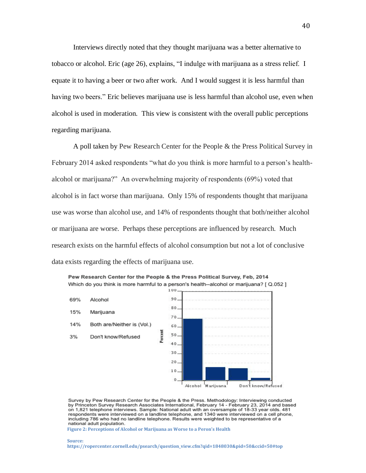Interviews directly noted that they thought marijuana was a better alternative to tobacco or alcohol. Eric (age 26), explains, "I indulge with marijuana as a stress relief. I equate it to having a beer or two after work. And I would suggest it is less harmful than having two beers." Eric believes marijuana use is less harmful than alcohol use, even when alcohol is used in moderation. This view is consistent with the overall public perceptions regarding marijuana.

A poll taken by Pew Research Center for the People & the Press Political Survey in February 2014 asked respondents "what do you think is more harmful to a person's healthalcohol or marijuana?" An overwhelming majority of respondents (69%) voted that alcohol is in fact worse than marijuana. Only 15% of respondents thought that marijuana use was worse than alcohol use, and 14% of respondents thought that both/neither alcohol or marijuana are worse. Perhaps these perceptions are influenced by research. Much research exists on the harmful effects of alcohol consumption but not a lot of conclusive data exists regarding the effects of marijuana use.



Pew Research Center for the People & the Press Political Survey, Feb, 2014 Which do you think is more harmful to a person's health--alcohol or marijuana? [ Q.052 ]

Survey by Pew Research Center for the People & the Press. Methodology: Interviewing conducted by Princeton Survey Research Associates International, February 14 - February 23, 2014 and based on 1,821 telephone interviews. Sample: National adult with an oversample of 18-33 year olds. 481 respondents were interviewed on a landline telephone, and 1340 were interviewed on a cell phone, including 786 who had no landline telephone. Results were weighted to be representative of a national adult population.

**Figure 2: Perceptions of Alcohol or Marijuana as Worse to a Peron's Health**

**Source:** 

**https://ropercenter.cornell.edu/psearch/question\_view.cfm?qid=1848030&pid=50&ccid=50#top**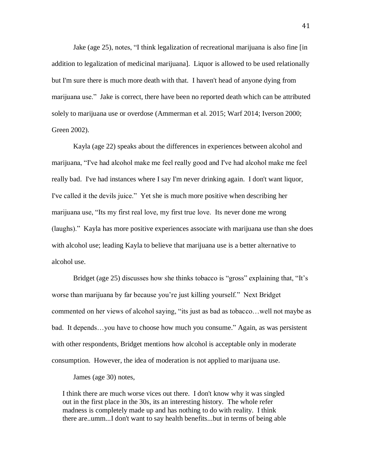Jake (age 25), notes, "I think legalization of recreational marijuana is also fine [in addition to legalization of medicinal marijuana]. Liquor is allowed to be used relationally but I'm sure there is much more death with that. I haven't head of anyone dying from marijuana use." Jake is correct, there have been no reported death which can be attributed solely to marijuana use or overdose (Ammerman et al. 2015; Warf 2014; Iverson 2000; Green 2002).

Kayla (age 22) speaks about the differences in experiences between alcohol and marijuana, "I've had alcohol make me feel really good and I've had alcohol make me feel really bad. I've had instances where I say I'm never drinking again. I don't want liquor, I've called it the devils juice." Yet she is much more positive when describing her marijuana use, "Its my first real love, my first true love. Its never done me wrong (laughs)." Kayla has more positive experiences associate with marijuana use than she does with alcohol use; leading Kayla to believe that marijuana use is a better alternative to alcohol use.

Bridget (age 25) discusses how she thinks tobacco is "gross" explaining that, "It's worse than marijuana by far because you're just killing yourself." Next Bridget commented on her views of alcohol saying, "its just as bad as tobacco…well not maybe as bad. It depends…you have to choose how much you consume." Again, as was persistent with other respondents, Bridget mentions how alcohol is acceptable only in moderate consumption. However, the idea of moderation is not applied to marijuana use.

James (age 30) notes,

I think there are much worse vices out there. I don't know why it was singled out in the first place in the 30s, its an interesting history. The whole refer madness is completely made up and has nothing to do with reality. I think there are..umm...I don't want to say health benefits...but in terms of being able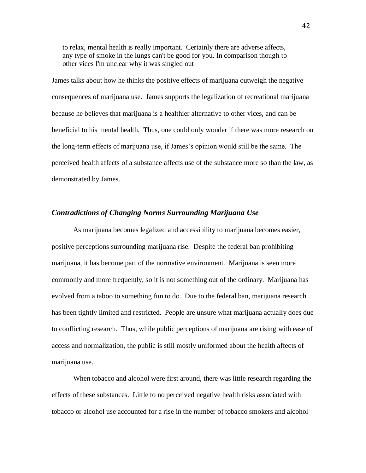to relax, mental health is really important. Certainly there are adverse affects, any type of smoke in the lungs can't be good for you. In comparison though to other vices I'm unclear why it was singled out

James talks about how he thinks the positive effects of marijuana outweigh the negative consequences of marijuana use. James supports the legalization of recreational marijuana because he believes that marijuana is a healthier alternative to other vices, and can be beneficial to his mental health. Thus, one could only wonder if there was more research on the long-term effects of marijuana use, if James's opinion would still be the same. The perceived health affects of a substance affects use of the substance more so than the law, as demonstrated by James.

## *Contradictions of Changing Norms Surrounding Marijuana Use*

As marijuana becomes legalized and accessibility to marijuana becomes easier, positive perceptions surrounding marijuana rise. Despite the federal ban prohibiting marijuana, it has become part of the normative environment. Marijuana is seen more commonly and more frequently, so it is not something out of the ordinary. Marijuana has evolved from a taboo to something fun to do. Due to the federal ban, marijuana research has been tightly limited and restricted. People are unsure what marijuana actually does due to conflicting research. Thus, while public perceptions of marijuana are rising with ease of access and normalization, the public is still mostly uniformed about the health affects of marijuana use.

When tobacco and alcohol were first around, there was little research regarding the effects of these substances. Little to no perceived negative health risks associated with tobacco or alcohol use accounted for a rise in the number of tobacco smokers and alcohol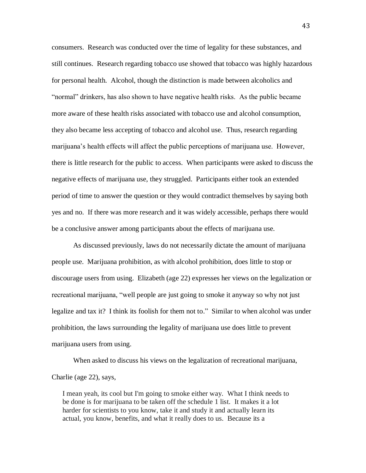consumers. Research was conducted over the time of legality for these substances, and still continues. Research regarding tobacco use showed that tobacco was highly hazardous for personal health. Alcohol, though the distinction is made between alcoholics and "normal" drinkers, has also shown to have negative health risks. As the public became more aware of these health risks associated with tobacco use and alcohol consumption, they also became less accepting of tobacco and alcohol use. Thus, research regarding marijuana's health effects will affect the public perceptions of marijuana use. However, there is little research for the public to access. When participants were asked to discuss the negative effects of marijuana use, they struggled. Participants either took an extended period of time to answer the question or they would contradict themselves by saying both yes and no. If there was more research and it was widely accessible, perhaps there would be a conclusive answer among participants about the effects of marijuana use.

As discussed previously, laws do not necessarily dictate the amount of marijuana people use. Marijuana prohibition, as with alcohol prohibition, does little to stop or discourage users from using. Elizabeth (age 22) expresses her views on the legalization or recreational marijuana, "well people are just going to smoke it anyway so why not just legalize and tax it? I think its foolish for them not to." Similar to when alcohol was under prohibition, the laws surrounding the legality of marijuana use does little to prevent marijuana users from using.

When asked to discuss his views on the legalization of recreational marijuana, Charlie (age 22), says,

I mean yeah, its cool but I'm going to smoke either way. What I think needs to be done is for marijuana to be taken off the schedule 1 list. It makes it a lot harder for scientists to you know, take it and study it and actually learn its actual, you know, benefits, and what it really does to us. Because its a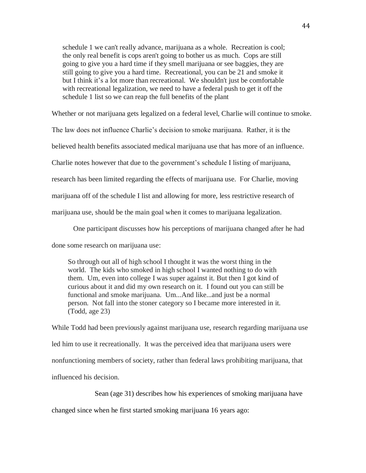schedule 1 we can't really advance, marijuana as a whole. Recreation is cool; the only real benefit is cops aren't going to bother us as much. Cops are still going to give you a hard time if they smell marijuana or see baggies, they are still going to give you a hard time. Recreational, you can be 21 and smoke it but I think it's a lot more than recreational. We shouldn't just be comfortable with recreational legalization, we need to have a federal push to get it off the schedule 1 list so we can reap the full benefits of the plant

Whether or not marijuana gets legalized on a federal level, Charlie will continue to smoke.

The law does not influence Charlie's decision to smoke marijuana. Rather, it is the

believed health benefits associated medical marijuana use that has more of an influence.

Charlie notes however that due to the government's schedule I listing of marijuana,

research has been limited regarding the effects of marijuana use. For Charlie, moving

marijuana off of the schedule I list and allowing for more, less restrictive research of

marijuana use, should be the main goal when it comes to marijuana legalization.

One participant discusses how his perceptions of marijuana changed after he had

done some research on marijuana use:

So through out all of high school I thought it was the worst thing in the world. The kids who smoked in high school I wanted nothing to do with them. Um, even into college I was super against it. But then I got kind of curious about it and did my own research on it. I found out you can still be functional and smoke marijuana. Um...And like...and just be a normal person. Not fall into the stoner category so I became more interested in it. (Todd, age 23)

While Todd had been previously against marijuana use, research regarding marijuana use led him to use it recreationally. It was the perceived idea that marijuana users were nonfunctioning members of society, rather than federal laws prohibiting marijuana, that influenced his decision.

Sean (age 31) describes how his experiences of smoking marijuana have

changed since when he first started smoking marijuana 16 years ago: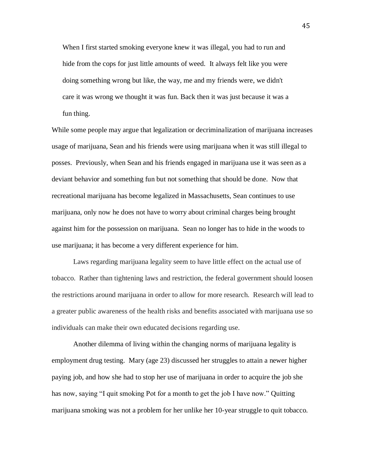When I first started smoking everyone knew it was illegal, you had to run and hide from the cops for just little amounts of weed. It always felt like you were doing something wrong but like, the way, me and my friends were, we didn't care it was wrong we thought it was fun. Back then it was just because it was a fun thing.

While some people may argue that legalization or decriminalization of marijuana increases usage of marijuana, Sean and his friends were using marijuana when it was still illegal to posses. Previously, when Sean and his friends engaged in marijuana use it was seen as a deviant behavior and something fun but not something that should be done. Now that recreational marijuana has become legalized in Massachusetts, Sean continues to use marijuana, only now he does not have to worry about criminal charges being brought against him for the possession on marijuana. Sean no longer has to hide in the woods to use marijuana; it has become a very different experience for him.

Laws regarding marijuana legality seem to have little effect on the actual use of tobacco. Rather than tightening laws and restriction, the federal government should loosen the restrictions around marijuana in order to allow for more research. Research will lead to a greater public awareness of the health risks and benefits associated with marijuana use so individuals can make their own educated decisions regarding use.

Another dilemma of living within the changing norms of marijuana legality is employment drug testing. Mary (age 23) discussed her struggles to attain a newer higher paying job, and how she had to stop her use of marijuana in order to acquire the job she has now, saying "I quit smoking Pot for a month to get the job I have now." Quitting marijuana smoking was not a problem for her unlike her 10-year struggle to quit tobacco.

45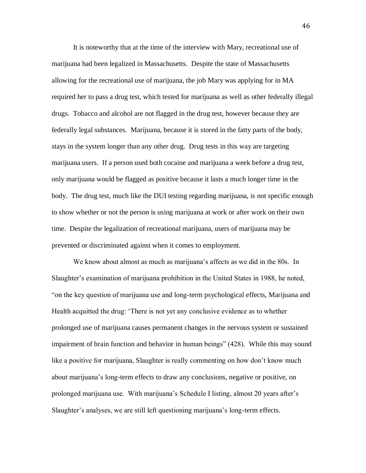It is noteworthy that at the time of the interview with Mary, recreational use of marijuana had been legalized in Massachusetts. Despite the state of Massachusetts allowing for the recreational use of marijuana, the job Mary was applying for in MA required her to pass a drug test, which tested for marijuana as well as other federally illegal drugs. Tobacco and alcohol are not flagged in the drug test, however because they are federally legal substances. Marijuana, because it is stored in the fatty parts of the body, stays in the system longer than any other drug. Drug tests in this way are targeting marijuana users. If a person used both cocaine and marijuana a week before a drug test, only marijuana would be flagged as positive because it lasts a much longer time in the body. The drug test, much like the DUI testing regarding marijuana, is not specific enough to show whether or not the person is using marijuana at work or after work on their own time. Despite the legalization of recreational marijuana, users of marijuana may be prevented or discriminated against when it comes to employment.

We know about almost as much as marijuana's affects as we did in the 80s. In Slaughter's examination of marijuana prohibition in the United States in 1988, he noted, "on the key question of marijuana use and long-term psychological effects, Marijuana and Health acquitted the drug: 'There is not yet any conclusive evidence as to whether prolonged use of marijuana causes permanent changes in the nervous system or sustained impairment of brain function and behavior in human beings" (428). While this may sound like a positive for marijuana, Slaughter is really commenting on how don't know much about marijuana's long-term effects to draw any conclusions, negative or positive, on prolonged marijuana use. With marijuana's Schedule I listing, almost 20 years after's Slaughter's analyses, we are still left questioning marijuana's long-term effects.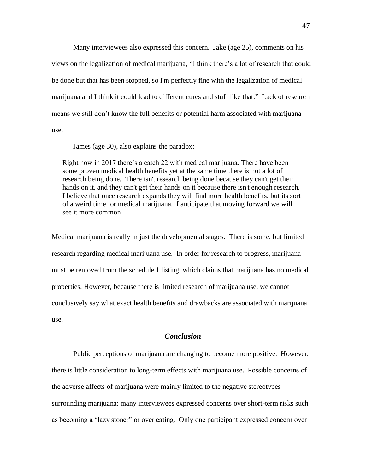Many interviewees also expressed this concern. Jake (age 25), comments on his views on the legalization of medical marijuana, "I think there's a lot of research that could be done but that has been stopped, so I'm perfectly fine with the legalization of medical marijuana and I think it could lead to different cures and stuff like that." Lack of research means we still don't know the full benefits or potential harm associated with marijuana use.

James (age 30), also explains the paradox:

Right now in 2017 there's a catch 22 with medical marijuana. There have been some proven medical health benefits yet at the same time there is not a lot of research being done. There isn't research being done because they can't get their hands on it, and they can't get their hands on it because there isn't enough research. I believe that once research expands they will find more health benefits, but its sort of a weird time for medical marijuana. I anticipate that moving forward we will see it more common

Medical marijuana is really in just the developmental stages. There is some, but limited research regarding medical marijuana use. In order for research to progress, marijuana must be removed from the schedule 1 listing, which claims that marijuana has no medical properties. However, because there is limited research of marijuana use, we cannot conclusively say what exact health benefits and drawbacks are associated with marijuana use.

# *Conclusion*

Public perceptions of marijuana are changing to become more positive. However, there is little consideration to long-term effects with marijuana use. Possible concerns of the adverse affects of marijuana were mainly limited to the negative stereotypes surrounding marijuana; many interviewees expressed concerns over short-term risks such as becoming a "lazy stoner" or over eating. Only one participant expressed concern over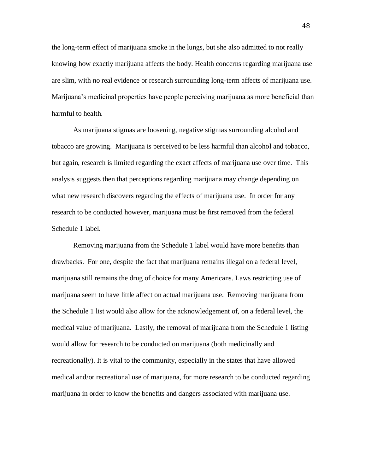the long-term effect of marijuana smoke in the lungs, but she also admitted to not really knowing how exactly marijuana affects the body. Health concerns regarding marijuana use are slim, with no real evidence or research surrounding long-term affects of marijuana use. Marijuana's medicinal properties have people perceiving marijuana as more beneficial than harmful to health.

As marijuana stigmas are loosening, negative stigmas surrounding alcohol and tobacco are growing. Marijuana is perceived to be less harmful than alcohol and tobacco, but again, research is limited regarding the exact affects of marijuana use over time. This analysis suggests then that perceptions regarding marijuana may change depending on what new research discovers regarding the effects of marijuana use. In order for any research to be conducted however, marijuana must be first removed from the federal Schedule 1 label.

Removing marijuana from the Schedule 1 label would have more benefits than drawbacks. For one, despite the fact that marijuana remains illegal on a federal level, marijuana still remains the drug of choice for many Americans. Laws restricting use of marijuana seem to have little affect on actual marijuana use. Removing marijuana from the Schedule 1 list would also allow for the acknowledgement of, on a federal level, the medical value of marijuana. Lastly, the removal of marijuana from the Schedule 1 listing would allow for research to be conducted on marijuana (both medicinally and recreationally). It is vital to the community, especially in the states that have allowed medical and/or recreational use of marijuana, for more research to be conducted regarding marijuana in order to know the benefits and dangers associated with marijuana use.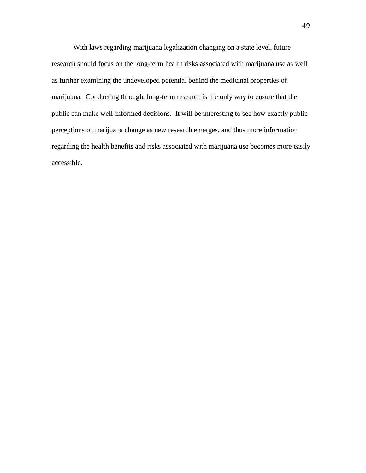With laws regarding marijuana legalization changing on a state level, future research should focus on the long-term health risks associated with marijuana use as well as further examining the undeveloped potential behind the medicinal properties of marijuana. Conducting through, long-term research is the only way to ensure that the public can make well-informed decisions. It will be interesting to see how exactly public perceptions of marijuana change as new research emerges, and thus more information regarding the health benefits and risks associated with marijuana use becomes more easily accessible.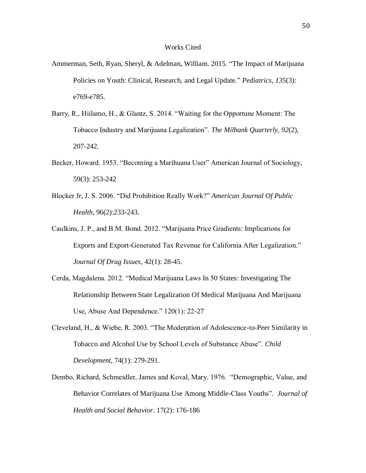## Works Cited

- Ammerman, Seth, Ryan, Sheryl, & Adelman, William. 2015. "The Impact of Marijuana Policies on Youth: Clinical, Research, and Legal Update." *Pediatrics*, *135*(3): e769-e785.
- Barry, R., Hiilamo, H., & Glantz, S. 2014. "Waiting for the Opportune Moment: The Tobacco Industry and Marijuana Legalization". *The Milbank Quarterly, 92*(2), 207-242.
- Becker, Howard. 1953. "Becoming a Marihuana User" American Journal of Sociology, 59(3): 253-242
- Blocker Jr, J. S. 2006. "Did Prohibition Really Work?" *American Journal Of Public Health*, 96(2):233-243.
- Caulkins, J. P., and B.M. Bond. 2012. "Marijuana Price Gradients: Implications for Exports and Export-Generated Tax Revenue for California After Legalization." *Journal Of Drug Issues*, 42(1): 28-45.
- Cerda, Magdalena. 2012. "Medical Marijuana Laws In 50 States: Investigating The Relationship Between State Legalization Of Medical Marijuana And Marijuana Use, Abuse And Dependence." 120(1): 22-27
- Cleveland, H., & Wiebe, R. 2003. "The Moderation of Adolescence-to-Peer Similarity in Tobacco and Alcohol Use by School Levels of Substance Abuse". *Child Development*, 74(1): 279-291.
- Dembo, Richard, Schmeidler, James and Koval, Mary. 1976. "Demographic, Value, and Behavior Correlates of Marijuana Use Among Middle-Class Youths". *Journal of Health and Social Behavior*. 17(2): 176-186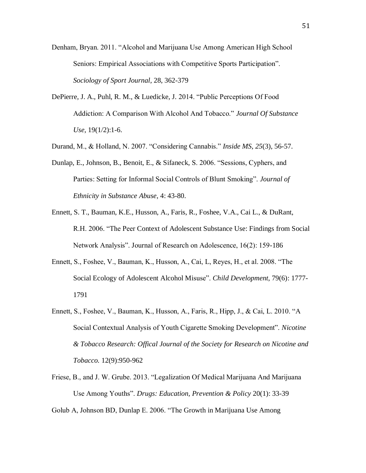- Denham, Bryan. 2011. "Alcohol and Marijuana Use Among American High School Seniors: Empirical Associations with Competitive Sports Participation". *Sociology of Sport Journal*, 28, 362-379
- DePierre, J. A., Puhl, R. M., & Luedicke, J. 2014. "Public Perceptions Of Food Addiction: A Comparison With Alcohol And Tobacco." *Journal Of Substance Use*, 19(1/2):1-6.
- Durand, M., & Holland, N. 2007. "Considering Cannabis." *Inside MS*, *25*(3), 56-57.
- Dunlap, E., Johnson, B., Benoit, E., & Sifaneck, S. 2006. "Sessions, Cyphers, and Parties: Setting for Informal Social Controls of Blunt Smoking". *Journal of Ethnicity in Substance Abuse*, 4: 43-80.
- Ennett, S. T., Bauman, K.E., Husson, A., Faris, R., Foshee, V.A., Cai L., & DuRant, R.H. 2006. "The Peer Context of Adolescent Substance Use: Findings from Social Network Analysis". Journal of Research on Adolescence, 16(2): 159-186
- Ennett, S., Foshee, V., Bauman, K., Husson, A., Cai, L, Reyes, H., et al. 2008. "The Social Ecology of Adolescent Alcohol Misuse". *Child Development*, 79(6): 1777- 1791
- Ennett, S., Foshee, V., Bauman, K., Husson, A., Faris, R., Hipp, J., & Cai, L. 2010. "A Social Contextual Analysis of Youth Cigarette Smoking Development". *Nicotine & Tobacco Research: Offical Journal of the Society for Research on Nicotine and Tobacco.* 12(9):950-962
- Friese, B., and J. W. Grube. 2013. "Legalization Of Medical Marijuana And Marijuana Use Among Youths". *Drugs: Education, Prevention & Policy* 20(1): 33-39

Golub A, Johnson BD, Dunlap E. 2006. "The Growth in Marijuana Use Among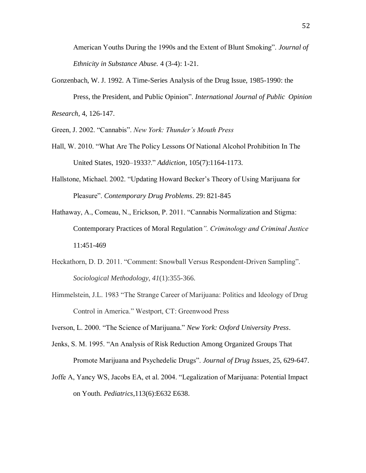American Youths During the 1990s and the Extent of Blunt Smoking". *Journal of Ethnicity in Substance Abuse.* 4 (3-4): 1-21.

Gonzenbach, W. J. 1992. A Time-Series Analysis of the Drug Issue, 1985-1990: the Press, the President, and Public Opinion". *International Journal of Public Opinion Research*, 4, 126-147.

Green, J. 2002. "Cannabis". *New York: Thunder's Mouth Press*

- Hall, W. 2010. "What Are The Policy Lessons Of National Alcohol Prohibition In The United States, 1920–1933?." *Addiction*, 105(7):1164-1173.
- Hallstone, Michael. 2002. "Updating Howard Becker's Theory of Using Marijuana for Pleasure". *Contemporary Drug Problems*. 29: 821-845
- Hathaway, A., Comeau, N., Erickson, P. 2011. "Cannabis Normalization and Stigma: Contemporary Practices of Moral Regulation*". Criminology and Criminal Justice* 11:451-469
- Heckathorn, D. D. 2011. "Comment: Snowball Versus Respondent-Driven Sampling". *Sociological Methodology*, *41*(1):355-366.
- Himmelstein, J.L. 1983 "The Strange Career of Marijuana: Politics and Ideology of Drug Control in America." Westport, CT: Greenwood Press

Iverson, L. 2000. "The Science of Marijuana." *New York: Oxford University Press*.

- Jenks, S. M. 1995. "An Analysis of Risk Reduction Among Organized Groups That Promote Marijuana and Psychedelic Drugs". *Journal of Drug Issues*, 25, 629-647.
- Joffe A, Yancy WS, Jacobs EA, et al. 2004. "Legalization of Marijuana: Potential Impact on Youth. *Pediatrics*,113(6):E632 E638.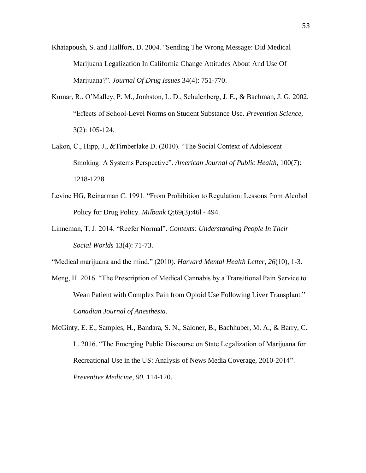- Khatapoush, S. and Hallfors, D. 2004. "Sending The Wrong Message: Did Medical Marijuana Legalization In California Change Attitudes About And Use Of Marijuana?". *Journal Of Drug Issues* 34(4): 751-770.
- Kumar, R., O'Malley, P. M., Jonhston, L. D., Schulenberg, J. E., & Bachman, J. G. 2002. "Effects of School-Level Norms on Student Substance Use. *Prevention Science*, 3(2): 105-124.
- Lakon, C., Hipp, J., &Timberlake D. (2010). "The Social Context of Adolescent Smoking: A Systems Perspective". *American Journal of Public Health*, 100(7): 1218-1228
- Levine HG, Reinarman C. 1991. "From Prohibition to Regulation: Lessons from Alcohol Policy for Drug Policy. *Milbank Q*;69(3):46l - 494.
- Linneman, T. J. 2014. "Reefer Normal". *Contexts: Understanding People In Their Social Worlds* 13(4): 71-73.

"Medical marijuana and the mind." (2010). *Harvard Mental Health Letter*, *26*(10), 1-3.

- Meng, H. 2016. "The Prescription of Medical Cannabis by a Transitional Pain Service to Wean Patient with Complex Pain from Opioid Use Following Liver Transplant." *Canadian Journal of Anesthesia*.
- McGinty, E. E., Samples, H., Bandara, S. N., Saloner, B., Bachhuber, M. A., & Barry, C. L. 2016. "The Emerging Public Discourse on State Legalization of Marijuana for Recreational Use in the US: Analysis of News Media Coverage, 2010-2014". *Preventive Medicine*, *90.* 114-120.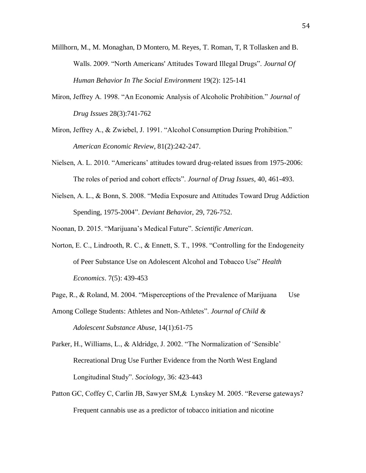- Millhorn, M., M. Monaghan, D Montero, M. Reyes, T. Roman, T, R Tollasken and B. Walls. 2009. "North Americans' Attitudes Toward Illegal Drugs". *Journal Of Human Behavior In The Social Environment* 19(2): 125-141
- Miron, Jeffrey A. 1998. "An Economic Analysis of Alcoholic Prohibition." *Journal of Drug Issues* 28(3):741-762
- Miron, Jeffrey A., & Zwiebel, J. 1991. "Alcohol Consumption During Prohibition." *American Economic Review*, 81(2):242-247.
- Nielsen, A. L. 2010. "Americans' attitudes toward drug-related issues from 1975-2006: The roles of period and cohort effects". *Journal of Drug Issues*, 40, 461-493.
- Nielsen, A. L., & Bonn, S. 2008. "Media Exposure and Attitudes Toward Drug Addiction Spending, 1975-2004". *Deviant Behavio*r, 29, 726-752.

Noonan, D. 2015. "Marijuana's Medical Future". *Scientific American*.

- Norton, E. C., Lindrooth, R. C., & Ennett, S. T., 1998. "Controlling for the Endogeneity of Peer Substance Use on Adolescent Alcohol and Tobacco Use" *Health Economics*. 7(5): 439-453
- Page, R., & Roland, M. 2004. "Misperceptions of the Prevalence of Marijuana Use

Among College Students: Athletes and Non-Athletes". *Journal of Child & Adolescent Substance Abuse*, 14(1):61-75

- Parker, H., Williams, L., & Aldridge, J. 2002. "The Normalization of 'Sensible' Recreational Drug Use Further Evidence from the North West England Longitudinal Study". *Sociology*, 36: 423-443
- Patton GC, Coffey C, Carlin JB, Sawyer SM,& Lynskey M. 2005. "Reverse gateways? Frequent cannabis use as a predictor of tobacco initiation and nicotine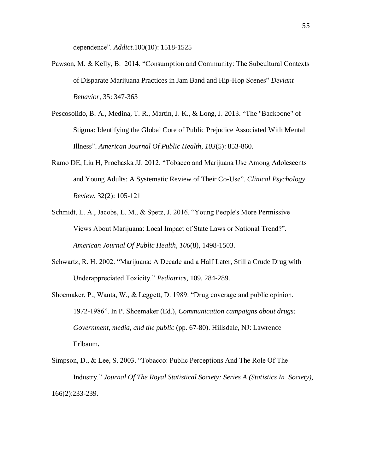dependence"*. Addict*.100(10): 1518-1525

- Pawson, M. & Kelly, B. 2014. "Consumption and Community: The Subcultural Contexts of Disparate Marijuana Practices in Jam Band and Hip-Hop Scenes" *Deviant Behavior,* 35: 347-363
- Pescosolido, B. A., Medina, T. R., Martin, J. K., & Long, J. 2013. "The "Backbone" of Stigma: Identifying the Global Core of Public Prejudice Associated With Mental Illness". *American Journal Of Public Health*, *103*(5): 853-860.
- Ramo DE, Liu H, Prochaska JJ. 2012. "Tobacco and Marijuana Use Among Adolescents and Young Adults: A Systematic Review of Their Co-Use". *Clinical Psychology Review.* 32(2): 105-121
- Schmidt, L. A., Jacobs, L. M., & Spetz, J. 2016. "Young People's More Permissive Views About Marijuana: Local Impact of State Laws or National Trend?". *American Journal Of Public Health*, *106*(8), 1498-1503.
- Schwartz, R. H. 2002. "Marijuana: A Decade and a Half Later, Still a Crude Drug with Underappreciated Toxicity." *Pediatrics,* 109, 284-289.
- Shoemaker, P., Wanta, W., & Leggett, D. 1989. "Drug coverage and public opinion, 1972-1986". In P. Shoemaker (Ed.), *Communication campaigns about drugs: Government, media, and the public* (pp. 67-80). Hillsdale, NJ: Lawrence Erlbaum**.**
- Simpson, D., & Lee, S. 2003. "Tobacco: Public Perceptions And The Role Of The Industry." *Journal Of The Royal Statistical Society: Series A (Statistics In Society)*, 166(2):233-239.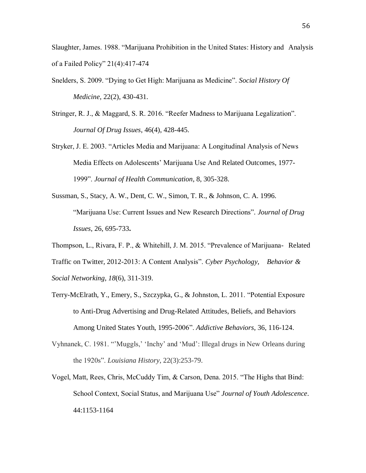Slaughter, James. 1988. "Marijuana Prohibition in the United States: History and Analysis of a Failed Policy" 21(4):417-474

- Snelders, S. 2009. "Dying to Get High: Marijuana as Medicine". *Social History Of Medicine*, 22(2), 430-431.
- Stringer, R. J., & Maggard, S. R. 2016. "Reefer Madness to Marijuana Legalization". *Journal Of Drug Issues*, 46(4), 428-445.
- Stryker, J. E. 2003. "Articles Media and Marijuana: A Longitudinal Analysis of News Media Effects on Adolescents' Marijuana Use And Related Outcomes, 1977- 1999". *Journal of Health Communication*, 8, 305-328.
- Sussman, S., Stacy, A. W., Dent, C. W., Simon, T. R., & Johnson, C. A. 1996. "Marijuana Use: Current Issues and New Research Directions"*. Journal of Drug Issues*, 26, 695-733**.**
- Thompson, L., Rivara, F. P., & Whitehill, J. M. 2015. "Prevalence of Marijuana- Related Traffic on Twitter, 2012-2013: A Content Analysis". *Cyber Psychology, Behavior & Social Networking*, *18*(6), 311-319.
- Terry-McElrath, Y., Emery, S., Szczypka, G., & Johnston, L. 2011. "Potential Exposure to Anti-Drug Advertising and Drug-Related Attitudes, Beliefs, and Behaviors Among United States Youth, 1995-2006". *Addictive Behaviors*, 36, 116-124.
- Vyhnanek, C. 1981. "'Muggls,' 'Inchy' and 'Mud': Illegal drugs in New Orleans during the 1920s". *Louisiana History*, 22(3):253-79.
- Vogel, Matt, Rees, Chris, McCuddy Tim, & Carson, Dena. 2015. "The Highs that Bind: School Context, Social Status, and Marijuana Use" *Journal of Youth Adolescence*. 44:1153-1164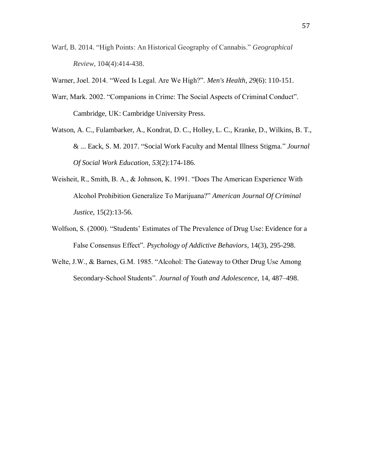- Warf, B. 2014. "High Points: An Historical Geography of Cannabis." *Geographical Review*, 104(4):414-438.
- Warner, Joel. 2014. "Weed Is Legal. Are We High?". *Men's Health*, *29*(6): 110-151.
- Warr, Mark. 2002. "Companions in Crime: The Social Aspects of Criminal Conduct". Cambridge, UK: Cambridge University Press.
- Watson, A. C., Fulambarker, A., Kondrat, D. C., Holley, L. C., Kranke, D., Wilkins, B. T., & ... Eack, S. M. 2017. "Social Work Faculty and Mental Illness Stigma." *Journal Of Social Work Education*, *53*(2):174-186.
- Weisheit, R., Smith, B. A., & Johnson, K. 1991. "Does The American Experience With Alcohol Prohibition Generalize To Marijuana?" *American Journal Of Criminal Justice*, 15(2):13-56.
- Wolfson, S. (2000). "Students' Estimates of The Prevalence of Drug Use: Evidence for a False Consensus Effect"*. Psychology of Addictive Behaviors*, 14(3), 295-298.
- Welte, J.W., & Barnes, G.M. 1985. "Alcohol: The Gateway to Other Drug Use Among Secondary-School Students". *Journal of Youth and Adolescence*, 14, 487–498.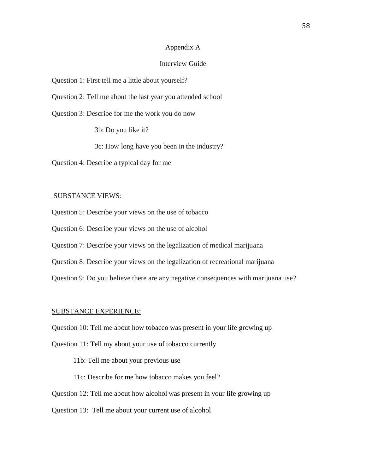# Appendix A

## Interview Guide

Question 1: First tell me a little about yourself?

Question 2: Tell me about the last year you attended school

Question 3: Describe for me the work you do now

3b: Do you like it?

3c: How long have you been in the industry?

Question 4: Describe a typical day for me

#### SUBSTANCE VIEWS:

Question 5: Describe your views on the use of tobacco

Question 6: Describe your views on the use of alcohol

Question 7: Describe your views on the legalization of medical marijuana

Question 8: Describe your views on the legalization of recreational marijuana

Question 9: Do you believe there are any negative consequences with marijuana use?

#### SUBSTANCE EXPERIENCE:

Question 10: Tell me about how tobacco was present in your life growing up

Question 11: Tell my about your use of tobacco currently

11b: Tell me about your previous use

11c: Describe for me how tobacco makes you feel?

Question 12: Tell me about how alcohol was present in your life growing up

Question 13: Tell me about your current use of alcohol